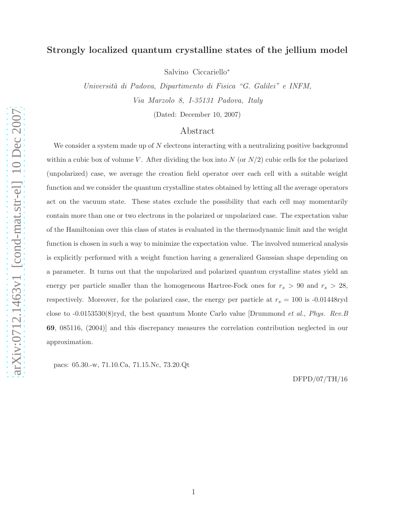# Strongly localized quantum crystalline states of the jellium model

Salvino Ciccariello<sup>∗</sup>

Universit`a di Padova, Dipartimento di Fisica "G. Galilei" e INFM, Via Marzolo 8, I-35131 Padova, Italy

(Dated: December 10, 2007)

## Abstract

We consider a system made up of  $N$  electrons interacting with a neutralizing positive background within a cubic box of volume V. After dividing the box into N (or  $N/2$ ) cubic cells for the polarized (unpolarized) case, we average the creation field operator over each cell with a suitable weight function and we consider the quantum crystalline states obtained by letting all the average operators act on the vacuum state. These states exclude the possibility that each cell may momentarily contain more than one or two electrons in the polarized or unpolarized case. The expectation value of the Hamiltonian over this class of states is evaluated in the thermodynamic limit and the weight function is chosen in such a way to minimize the expectation value. The involved numerical analysis is explicitly performed with a weight function having a generalized Gaussian shape depending on a parameter. It turns out that the unpolarized and polarized quantum crystalline states yield an energy per particle smaller than the homogeneous Hartree-Fock ones for  $r_s > 90$  and  $r_s > 28$ , respectively. Moreover, for the polarized case, the energy per particle at  $r_s = 100$  is -0.01448ryd close to -0.0153530(8)ryd, the best quantum Monte Carlo value [Drummond et al., Phys. Rev.B 69, 085116, (2004)] and this discrepancy measures the correlation contribution neglected in our approximation.

pacs: 05.30.-w, 71.10.Ca, 71.15.Nc, 73.20.Qt

DFPD/07/TH/16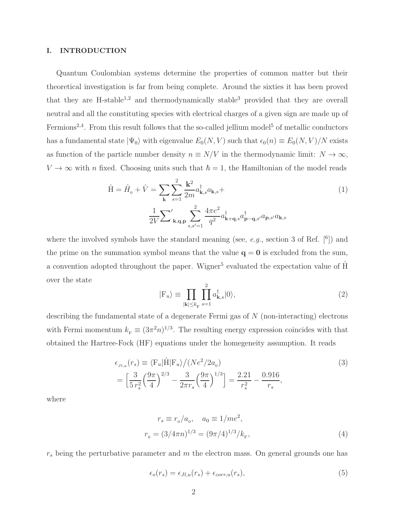#### I. INTRODUCTION

Quantum Coulombian systems determine the properties of common matter but their theoretical investigation is far from being complete. Around the sixties it has been proved that they are  $H$ -stable<sup>1,2</sup> and thermodynamically stable<sup>3</sup> provided that they are overall neutral and all the constituting species with electrical charges of a given sign are made up of Fermions<sup>2,4</sup>. From this result follows that the so-called jellium model<sup>5</sup> of metallic conductors has a fundamental state  $|\Psi_0\rangle$  with eigenvalue  $E_0(N, V)$  such that  $\epsilon_0(n) \equiv E_0(N, V)/N$  exists as function of the particle number density  $n \equiv N/V$  in the thermodynamic limit:  $N \to \infty$ ,  $V \to \infty$  with *n* fixed. Choosing units such that  $\hbar = 1$ , the Hamiltonian of the model reads

$$
\hat{H} = \hat{H}_0 + \hat{V} = \sum_{\mathbf{k}} \sum_{s=1}^{2} \frac{\mathbf{k}^2}{2m} a_{\mathbf{k},s}^{\dagger} a_{\mathbf{k},s} +
$$
\n
$$
\frac{1}{2V} \sum_{\mathbf{k}, \mathbf{q}, \mathbf{p}}' \sum_{s,s'=1}^{2} \frac{4\pi e^2}{q^2} a_{\mathbf{k}+\mathbf{q},s}^{\dagger} a_{\mathbf{p}-\mathbf{q},s'}^{\dagger} a_{\mathbf{p},s'} a_{\mathbf{k},s}
$$
\n(1)

where the involved symbols have the standard meaning (see,  $e.g.,$  section 3 of Ref.  $[6]$ ) and the prime on the summation symbol means that the value  $q = 0$  is excluded from the sum, a convention adopted throughout the paper. Wigner<sup>5</sup> evaluated the expectation value of  $\hat{H}$ over the state

$$
|\mathcal{F}_u\rangle \equiv \prod_{|\mathbf{k}| \le k_{\mathcal{F}}} \prod_{s=1}^2 a_{\mathbf{k},s}^\dagger |0\rangle,\tag{2}
$$

describing the fundamental state of a degenerate Fermi gas of N (non-interacting) electrons with Fermi momentum  $k_F \equiv (3\pi^2 n)^{1/3}$ . The resulting energy expression coincides with that obtained the Hartree-Fock (HF) equations under the homegeneity assumption. It reads

$$
\epsilon_{Jl,u}(r_s) \equiv \langle F_u | \hat{H} | F_u \rangle / (Ne^2 / 2a_0) \n= \left[ \frac{3}{5 r_s^2} \left( \frac{9\pi}{4} \right)^{2/3} - \frac{3}{2\pi r_s} \left( \frac{9\pi}{4} \right)^{1/3} \right] = \frac{2.21}{r_s^2} - \frac{0.916}{r_s},
$$
\n(3)

where

$$
r_s \equiv r_0/a_0, \quad a_0 \equiv 1/me^2,
$$
  

$$
r_0 = (3/4\pi n)^{1/3} = (9\pi/4)^{1/3}/k_{\rm F},
$$
 (4)

 $r_s$  being the perturbative parameter and  $m$  the electron mass. On general grounds one has

$$
\epsilon_o(r_s) = \epsilon_{Jl,u}(r_s) + \epsilon_{corr,u}(r_s),\tag{5}
$$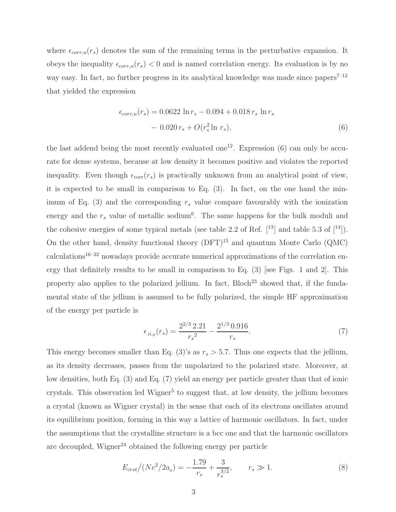where  $\epsilon_{corr,u}(r_s)$  denotes the sum of the remaining terms in the perturbative expansion. It obeys the inequality  $\epsilon_{corr,u}(r_s) < 0$  and is named correlation energy. Its evaluation is by no way easy. In fact, no further progress in its analytical knowledge was made since  $\text{papers}^{7-12}$ that yielded the expression

$$
\epsilon_{corr,u}(r_s) = 0.0622 \ln r_s - 0.094 + 0.018 r_s \ln r_s
$$

$$
- 0.020 r_s + O(r_s^2 \ln r_s), \tag{6}
$$

the last addend being the most recently evaluated one<sup>12</sup>. Expression (6) can only be accurate for dense systems, because at low density it becomes positive and violates the reported inequality. Even though  $\epsilon_{\text{corr}}(r_s)$  is practically unknown from an analytical point of view, it is expected to be small in comparison to Eq. (3). In fact, on the one hand the minimum of Eq. (3) and the corresponding  $r<sub>s</sub>$  value compare favourably with the ionization energy and the  $r_s$  value of metallic sodium<sup>6</sup>. The same happens for the bulk moduli and the cohesive energies of some typical metals (see table 2.2 of Ref.  $[13]$  and table 5.3 of  $[14]$ ). On the other hand, density functional theory  $(DFT)^{15}$  and quantum Monte Carlo  $(QMC)$  $calicalculations<sup>16-22</sup>$  nowadays provide accurate numerical approximations of the correlation energy that definitely results to be small in comparison to Eq. (3) [see Figs. 1 and 2]. This property also applies to the polarized jellium. In fact,  $Bloch<sup>23</sup>$  showed that, if the fundamental state of the jellium is assumed to be fully polarized, the simple HF approximation of the energy per particle is

$$
\epsilon_{Jl,p}(r_s) = \frac{2^{2/3} 2.21}{r_s^2} - \frac{2^{1/3} 0.916}{r_s}.\tag{7}
$$

This energy becomes smaller than Eq. (3)'s as  $r_s > 5.7$ . Thus one expects that the jellium, as its density decreases, passes from the unpolarized to the polarized state. Moreover, at low densities, both Eq. (3) and Eq. (7) yield an energy per particle greater than that of ionic crystals. This observation led Wigner<sup>5</sup> to suggest that, at low density, the jellium becomes a crystal (known as Wigner crystal) in the sense that each of its electrons oscillates around its equilibrium position, forming in this way a lattice of harmonic oscillators. In fact, under the assumptions that the crystalline structure is a bcc one and that the harmonic oscillators are decoupled, Wigner<sup>24</sup> obtained the following energy per particle

$$
E_{crst}/(Ne^2/2a_0) = -\frac{1.79}{r_s} + \frac{3}{r_s^{3/2}}, \qquad r_s \gg 1.
$$
 (8)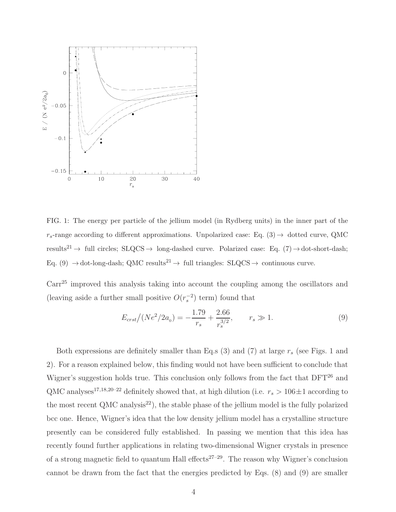

FIG. 1: The energy per particle of the jellium model (in Rydberg units) in the inner part of the  $r_s$ -range according to different approximations. Unpolarized case: Eq. (3)  $\rightarrow$  dotted curve, QMC results<sup>21</sup> <sup>→</sup> full circles; SLQCS <sup>→</sup> long-dashed curve. Polarized case: Eq. (7)→dot-short-dash; Eq. (9)  $\rightarrow$  dot-long-dash; QMC results<sup>21</sup>  $\rightarrow$  full triangles: SLQCS  $\rightarrow$  continuous curve.

Carr<sup>25</sup> improved this analysis taking into account the coupling among the oscillators and (leaving aside a further small positive  $O(r_s^{-2})$  term) found that

$$
E_{crst}/(Ne^2/2a_0) = -\frac{1.79}{r_s} + \frac{2.66}{r_s^{3/2}}, \qquad r_s \gg 1.
$$
 (9)

Both expressions are definitely smaller than Eq.s  $(3)$  and  $(7)$  at large  $r<sub>s</sub>$  (see Figs. 1 and 2). For a reason explained below, this finding would not have been sufficient to conclude that Wigner's suggestion holds true. This conclusion only follows from the fact that DFT<sup>26</sup> and QMC analyses<sup>17,18,20–22</sup> definitely showed that, at high dilution (i.e.  $r_s > 106 \pm 1$  according to the most recent QMC analysis<sup>22</sup>), the stable phase of the jellium model is the fully polarized bcc one. Hence, Wigner's idea that the low density jellium model has a crystalline structure presently can be considered fully established. In passing we mention that this idea has recently found further applications in relating two-dimensional Wigner crystals in presence of a strong magnetic field to quantum Hall effects<sup>27-29</sup>. The reason why Wigner's conclusion cannot be drawn from the fact that the energies predicted by Eqs. (8) and (9) are smaller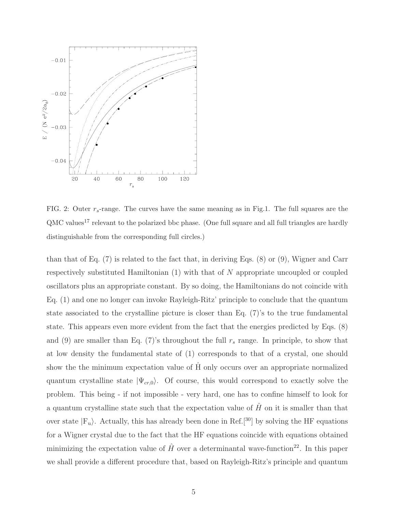

FIG. 2: Outer  $r_s$ -range. The curves have the same meaning as in Fig.1. The full squares are the QMC values<sup>17</sup> relevant to the polarized bbc phase. (One full square and all full triangles are hardly distinguishable from the corresponding full circles.)

than that of Eq. (7) is related to the fact that, in deriving Eqs. (8) or (9), Wigner and Carr respectively substituted Hamiltonian  $(1)$  with that of N appropriate uncoupled or coupled oscillators plus an appropriate constant. By so doing, the Hamiltonians do not coincide with Eq. (1) and one no longer can invoke Rayleigh-Ritz' principle to conclude that the quantum state associated to the crystalline picture is closer than Eq. (7)'s to the true fundamental state. This appears even more evident from the fact that the energies predicted by Eqs. (8) and (9) are smaller than Eq. (7)'s throughout the full  $r_s$  range. In principle, to show that at low density the fundamental state of (1) corresponds to that of a crystal, one should show the the minimum expectation value of H only occurs over an appropriate normalized quantum crystalline state  $|\Psi_{cr,0}\rangle$ . Of course, this would correspond to exactly solve the problem. This being - if not impossible - very hard, one has to confine himself to look for a quantum crystalline state such that the expectation value of  $\hat{H}$  on it is smaller than that over state  $|F_u\rangle$ . Actually, this has already been done in Ref.<sup>[30]</sup> by solving the HF equations for a Wigner crystal due to the fact that the HF equations coincide with equations obtained minimizing the expectation value of H over a determinantal wave-function<sup>22</sup>. In this paper we shall provide a different procedure that, based on Rayleigh-Ritz's principle and quantum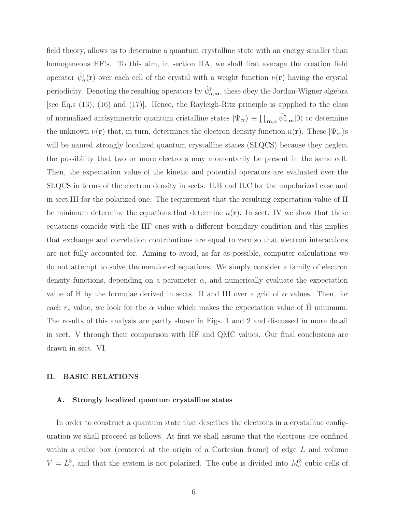field theory, allows us to determine a quantum crystalline state with an energy smaller than homogeneous HF's. To this aim, in section IIA, we shall first average the creation field operator  $\hat{\psi}_{\alpha}^{\dagger}(\mathbf{r})$  over each cell of the crystal with a weight function  $\nu(\mathbf{r})$  having the crystal periodicity. Denoting the resulting operators by  $\hat{\psi}_{\alpha,{\bf m}}^{\dagger}$ , these obey the Jordan-Wigner algebra [see Eq.s (13), (16) and (17)]. Hence, the Rayleigh-Ritz principle is appplied to the class of normalized antisymmetric quantum cristalline states  $|\Psi_{cr}\rangle \equiv \prod_{m,\alpha} \hat{\psi}_{\alpha,m}^{\dagger}|0\rangle$  to determine the unknown  $\nu(\mathbf{r})$  that, in turn, determines the electron density function  $n(\mathbf{r})$ . These  $|\Psi_{cr}\rangle$ s will be named strongly localized quantum crystalline states (SLQCS) because they neglect the possibility that two or more electrons may momentarily be present in the same cell. Then, the expectation value of the kinetic and potential operators are evaluated over the SLQCS in terms of the electron density in sects. II.B and II.C for the unpolarized case and in sect.III for the polarized one. The requirement that the resulting expectation value of H be minimum determine the equations that determine  $n(\mathbf{r})$ . In sect. IV we show that these equations coincide with the HF ones with a different boundary condition and this implies that exchange and correlation contributions are equal to zero so that electron interactions are not fully accounted for. Aiming to avoid, as far as possible, computer calculations we do not attempt to solve the mentioned equations. We simply consider a family of electron density functions, depending on a parameter  $\alpha$ , and numerically evaluate the expectation value of H by the formulae derived in sects. II and III over a grid of  $\alpha$  values. Then, for each  $r_s$  value, we look for the  $\alpha$  value which makes the expectation value of H minimum. The results of this analysis are partly shown in Figs. 1 and 2 and discussed in more detail in sect. V through their comparison with HF and QMC values. Our final conclusions are drawn in sect. VI.

### II. BASIC RELATIONS

#### A. Strongly localized quantum crystalline states

In order to construct a quantum state that describes the electrons in a crystalline configuration we shall proceed as follows. At first we shall assume that the electrons are confined within a cubic box (centered at the origin of a Cartesian frame) of edge L and volume  $V = L<sup>3</sup>$ , and that the system is not polarized. The cube is divided into  $M<sub>c</sub><sup>3</sup>$  cubic cells of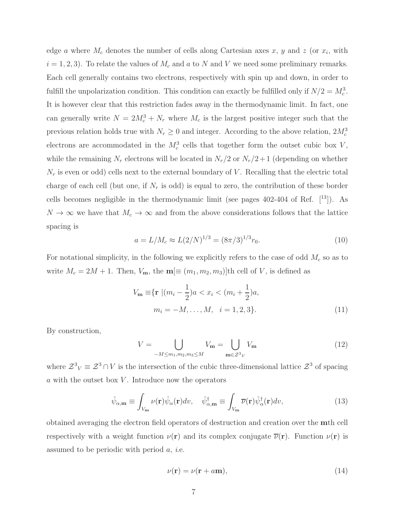edge a where  $M_c$  denotes the number of cells along Cartesian axes x, y and z (or  $x_i$ , with  $i = 1, 2, 3$ . To relate the values of  $M_c$  and a to N and V we need some preliminary remarks. Each cell generally contains two electrons, respectively with spin up and down, in order to fulfill the unpolarization condition. This condition can exactly be fulfilled only if  $N/2 = M_c^3$ . It is however clear that this restriction fades away in the thermodynamic limit. In fact, one can generally write  $N = 2M_c^3 + N_r$  where  $M_c$  is the largest positive integer such that the previous relation holds true with  $N_r \geq 0$  and integer. According to the above relation,  $2M_c^3$ electrons are accommodated in the  $M_c^3$  cells that together form the outset cubic box V, while the remaining  $N_r$  electrons will be located in  $N_r/2$  or  $N_r/2+1$  (depending on whether  $N_r$  is even or odd) cells next to the external boundary of V. Recalling that the electric total charge of each cell (but one, if  $N_r$  is odd) is equal to zero, the contribution of these border cells becomes negligible in the thermodynamic limit (see pages  $402-404$  of Ref.  $[13]$ ). As  $N \to \infty$  we have that  $M_c \to \infty$  and from the above considerations follows that the lattice spacing is

$$
a = L/M_c \approx L(2/N)^{1/3} = (8\pi/3)^{1/3} r_0.
$$
\n(10)

For notational simplicity, in the following we explicitly refers to the case of odd  $M_c$  so as to write  $M_c = 2M + 1$ . Then,  $V_{\mathbf{m}}$ , the  $\mathbf{m}[\equiv (m_1, m_2, m_3)]$ th cell of V, is defined as

$$
V_{\mathbf{m}} \equiv \{ \mathbf{r} \mid (m_i - \frac{1}{2})a < x_i < (m_i + \frac{1}{2})a, \quad m_i = -M, \dots, M, \quad i = 1, 2, 3 \}. \tag{11}
$$

By construction,

$$
V = \bigcup_{-M \le m_1, m_2, m_3 \le M} V_{\mathbf{m}} = \bigcup_{\mathbf{m} \in \mathcal{Z}^3 V} V_{\mathbf{m}}
$$
(12)

where  $\mathcal{Z}^3$ <sub>V</sub>  $\equiv \mathcal{Z}^3 \cap V$  is the intersection of the cubic three-dimensional lattice  $\mathcal{Z}^3$  of spacing  $a$  with the outset box  $V$ . Introduce now the operators

$$
\hat{\psi}_{\alpha,\mathbf{m}} \equiv \int_{V_{\mathbf{m}}} \nu(\mathbf{r}) \hat{\psi}_{\alpha}(\mathbf{r}) dv, \quad \hat{\psi}_{\alpha,\mathbf{m}}^{\dagger} \equiv \int_{V_{\mathbf{m}}} \overline{\nu}(\mathbf{r}) \hat{\psi}_{\alpha}^{\dagger}(\mathbf{r}) dv,
$$
\n(13)

obtained averaging the electron field operators of destruction and creation over the mth cell respectively with a weight function  $\nu(\mathbf{r})$  and its complex conjugate  $\overline{\nu}(\mathbf{r})$ . Function  $\nu(\mathbf{r})$  is assumed to be periodic with period a, i.e.

$$
\nu(\mathbf{r}) = \nu(\mathbf{r} + a\mathbf{m}),\tag{14}
$$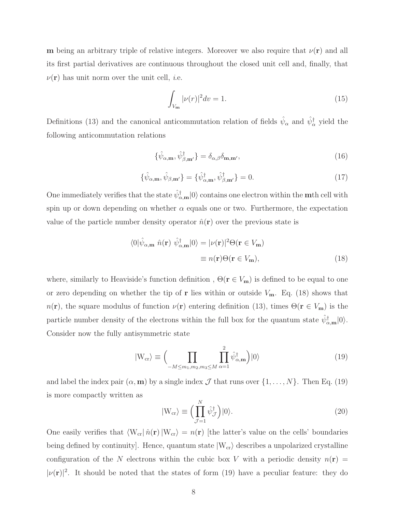m being an arbitrary triple of relative integers. Moreover we also require that  $\nu(\mathbf{r})$  and all its first partial derivatives are continuous throughout the closed unit cell and, finally, that  $\nu(\mathbf{r})$  has unit norm over the unit cell, *i.e.* 

$$
\int_{V_{\mathbf{m}}} |\nu(r)|^2 dv = 1.
$$
\n(15)

Definitions (13) and the canonical anticommutation relation of fields  $\hat{\psi}_{\alpha}$  and  $\hat{\psi}_{\alpha}^{\dagger}$  yield the following anticommutation relations

$$
\{\hat{\psi}_{\alpha,\mathbf{m}}, \hat{\psi}_{\beta,\mathbf{m'}}^{\dagger}\} = \delta_{\alpha,\beta}\delta_{\mathbf{m},\mathbf{m'}},\tag{16}
$$

$$
\{\hat{\psi}_{\alpha,\mathbf{m}}, \hat{\psi}_{\beta,\mathbf{m}'}\} = \{\hat{\psi}_{\alpha,\mathbf{m}}^{\dagger}, \hat{\psi}_{\beta,\mathbf{m}'}^{\dagger}\} = 0. \tag{17}
$$

One immediately verifies that the state  $\hat{\psi}_{\alpha,{\bf m}}^{\dagger}|0\rangle$  contains one electron within the **m**th cell with spin up or down depending on whether  $\alpha$  equals one or two. Furthermore, the expectation value of the particle number density operator  $\hat{n}(\mathbf{r})$  over the previous state is

$$
\langle 0|\hat{\psi}_{\alpha,\mathbf{m}}\ \hat{n}(\mathbf{r})\ \hat{\psi}_{\alpha,\mathbf{m}}^{\dagger}|0\rangle = |\nu(\mathbf{r})|^2 \Theta(\mathbf{r} \in V_{\mathbf{m}})
$$

$$
\equiv n(\mathbf{r})\Theta(\mathbf{r} \in V_{\mathbf{m}}),\tag{18}
$$

where, similarly to Heaviside's function definition,  $\Theta(\mathbf{r} \in V_{\mathbf{m}})$  is defined to be equal to one or zero depending on whether the tip of  $\bf{r}$  lies within or outside  $V_{\bf{m}}$ . Eq. (18) shows that  $n(\mathbf{r})$ , the square modulus of function  $\nu(\mathbf{r})$  entering definition (13), times  $\Theta(\mathbf{r} \in V_{\mathbf{m}})$  is the particle number density of the electrons within the full box for the quantum state  $\hat{\psi}_{\alpha,m}^{\dagger}|0\rangle$ . Consider now the fully antisymmetric state

$$
|W_{\rm cr}\rangle \equiv \Big(\prod_{-M \le m_1, m_2, m_3 \le M} \prod_{\alpha=1}^{2} \hat{\psi}_{\alpha, \mathbf{m}}^{\dagger}\Big)|0\rangle \tag{19}
$$

and label the index pair  $(\alpha, \mathbf{m})$  by a single index  $\mathcal J$  that runs over  $\{1, \ldots, N\}$ . Then Eq. (19) is more compactly written as

$$
|W_{\rm cr}\rangle \equiv \Big(\prod_{\mathcal{J}=1}^N \hat{\psi}_{\mathcal{J}}^\dagger\Big)|0\rangle. \tag{20}
$$

One easily verifies that  $\langle W_{cr} | \hat{n}({\bf r}) | W_{cr} \rangle = n({\bf r})$  [the latter's value on the cells' boundaries being defined by continuity]. Hence, quantum state  $|W_{cr}\rangle$  describes a unpolarized crystalline configuration of the N electrons within the cubic box V with a periodic density  $n(\mathbf{r}) =$  $|\nu(\mathbf{r})|^2$ . It should be noted that the states of form (19) have a peculiar feature: they do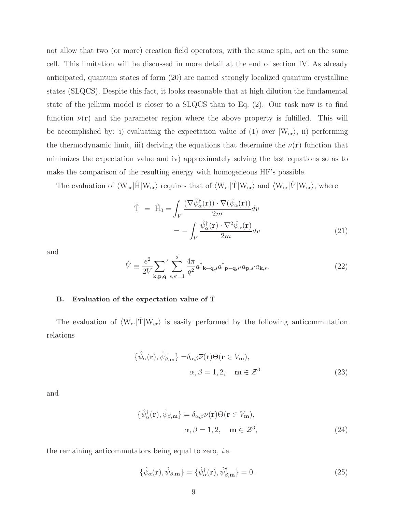not allow that two (or more) creation field operators, with the same spin, act on the same cell. This limitation will be discussed in more detail at the end of section IV. As already anticipated, quantum states of form (20) are named strongly localized quantum crystalline states (SLQCS). Despite this fact, it looks reasonable that at high dilution the fundamental state of the jellium model is closer to a SLQCS than to Eq. (2). Our task now is to find function  $\nu(\mathbf{r})$  and the parameter region where the above property is fulfilled. This will be accomplished by: i) evaluating the expectation value of (1) over  $|W_{cr}\rangle$ , ii) performing the thermodynamic limit, iii) deriving the equations that determine the  $\nu(\mathbf{r})$  function that minimizes the expectation value and iv) approximately solving the last equations so as to make the comparison of the resulting energy with homogeneous HF's possible.

The evaluation of  $\langle W_{cr}|\hat{H}|W_{cr}\rangle$  requires that of  $\langle W_{cr}|\hat{T}|W_{cr}\rangle$  and  $\langle W_{cr}|\hat{V}|W_{cr}\rangle$ , where

$$
\hat{\mathbf{T}} = \hat{\mathbf{H}}_0 = \int_V \frac{(\nabla \hat{\psi}_{\alpha}^{\dagger}(\mathbf{r})) \cdot \nabla (\hat{\psi}_{\alpha}(\mathbf{r}))}{2m} dv \n= -\int_V \frac{\hat{\psi}_{\alpha}^{\dagger}(\mathbf{r}) \cdot \nabla^2 \hat{\psi}_{\alpha}(\mathbf{r})}{2m} dv
$$
\n(21)

and

$$
\hat{V} \equiv \frac{e^2}{2V} \sum_{\mathbf{k}, \mathbf{p}, \mathbf{q}}' \sum_{s, s'=1}^2 \frac{4\pi}{q^2} a^{\dagger}_{\mathbf{k}+\mathbf{q}, s} a^{\dagger}_{\mathbf{p}-\mathbf{q}, s'} a_{\mathbf{p}, s'} a_{\mathbf{k}, s}.
$$
\n(22)

## B. Evaluation of the expectation value of  $\hat{T}$

The evaluation of  $\langle W_{cr}|\hat{T}|W_{cr}\rangle$  is easily performed by the following anticommutation relations

$$
\{\hat{\psi}_{\alpha}(\mathbf{r}), \hat{\psi}_{\beta,\mathbf{m}}^{\dagger}\} = \delta_{\alpha,\beta} \overline{\nu}(\mathbf{r}) \Theta(\mathbf{r} \in V_{\mathbf{m}}),
$$
  

$$
\alpha, \beta = 1, 2, \quad \mathbf{m} \in \mathcal{Z}^{3}
$$
 (23)

and

$$
\{\hat{\psi}_{\alpha}^{\dagger}(\mathbf{r}), \hat{\psi}_{\beta,\mathbf{m}}\} = \delta_{\alpha,\beta} \nu(\mathbf{r}) \Theta(\mathbf{r} \in V_{\mathbf{m}}),
$$
  

$$
\alpha, \beta = 1, 2, \quad \mathbf{m} \in \mathcal{Z}^{3},
$$
 (24)

the remaining anticommutators being equal to zero, *i.e.* 

$$
\{\hat{\psi}_{\alpha}(\mathbf{r}), \hat{\psi}_{\beta,\mathbf{m}}\} = \{\hat{\psi}_{\alpha}^{\dagger}(\mathbf{r}), \hat{\psi}_{\beta,\mathbf{m}}^{\dagger}\} = 0. \tag{25}
$$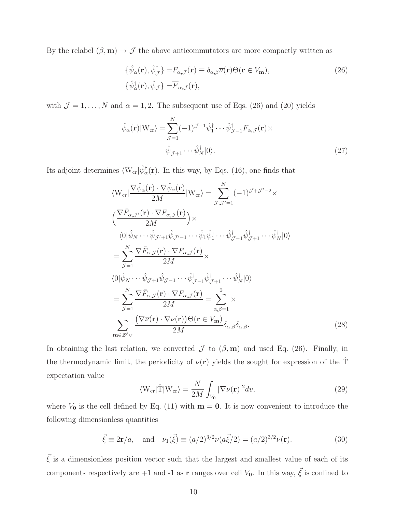By the relabel  $(\beta, \mathbf{m}) \to \mathcal{J}$  the above anticommutators are more compactly written as

$$
\{\hat{\psi}_{\alpha}(\mathbf{r}), \hat{\psi}_{\mathcal{J}}^{\dagger}\} = F_{\alpha,\mathcal{J}}(\mathbf{r}) \equiv \delta_{\alpha,\beta} \overline{\nu}(\mathbf{r}) \Theta(\mathbf{r} \in V_{\mathbf{m}}),
$$
\n
$$
\{\hat{\psi}_{\alpha}^{\dagger}(\mathbf{r}), \hat{\psi}_{\mathcal{J}}\} = \overline{F}_{\alpha,\mathcal{J}}(\mathbf{r}),
$$
\n(26)

with  $\mathcal{J} = 1, \ldots, N$  and  $\alpha = 1, 2$ . The subsequent use of Eqs. (26) and (20) yields

$$
\hat{\psi}_{\alpha}(\mathbf{r})|W_{\text{cr}}\rangle = \sum_{\mathcal{J}=1}^{N}(-1)^{\mathcal{J}-1}\hat{\psi}_{1}^{\dagger}\cdots\hat{\psi}_{\mathcal{J}-1}^{\dagger}F_{\alpha,\mathcal{J}}(\mathbf{r})\times
$$
\n
$$
\hat{\psi}_{\mathcal{J}+1}^{\dagger}\cdots\hat{\psi}_{N}^{\dagger}|0\rangle.
$$
\n(27)

Its adjoint determines  $\langle W_{cr}|\hat{\psi}^{\dagger}_{\alpha}(\mathbf{r})$ . In this way, by Eqs. (16), one finds that

$$
\langle W_{cr} | \frac{\nabla \hat{\psi}_{\alpha}^{\dagger}(\mathbf{r}) \cdot \nabla \hat{\psi}_{\alpha}(\mathbf{r})}{2M} | W_{cr} \rangle = \sum_{\mathcal{J}, \mathcal{J}'=1}^{N} (-1)^{\mathcal{J}+\mathcal{J}'-2} \times \n\left( \frac{\nabla \bar{F}_{\alpha, \mathcal{J}'}(\mathbf{r}) \cdot \nabla F_{\alpha, \mathcal{J}}(\mathbf{r})}{2M} \right) \times \n\langle 0 | \hat{\psi}_{N} \cdots \hat{\psi}_{\mathcal{J}'+1} \hat{\psi}_{\mathcal{J}'-1} \cdots \hat{\psi}_{1} \hat{\psi}_{1}^{\dagger} \cdots \hat{\psi}_{\mathcal{J}-1}^{\dagger} \hat{\psi}_{\mathcal{J}+1}^{\dagger} \cdots \hat{\psi}_{N}^{\dagger} | 0 \rangle \n= \sum_{\mathcal{J}=1}^{N} \frac{\nabla \bar{F}_{\alpha, \mathcal{J}}(\mathbf{r}) \cdot \nabla F_{\alpha, \mathcal{J}}(\mathbf{r})}{2M} \times \n\langle 0 | \hat{\psi}_{N} \cdots \hat{\psi}_{\mathcal{J}+1} \hat{\psi}_{\mathcal{J}-1} \cdots \hat{\psi}_{\mathcal{J}-1}^{\dagger} \hat{\psi}_{\mathcal{J}+1}^{\dagger} \cdots \hat{\psi}_{N}^{\dagger} | 0 \rangle \n= \sum_{\mathcal{J}=1}^{N} \frac{\nabla \bar{F}_{\alpha, \mathcal{J}}(\mathbf{r}) \cdot \nabla F_{\alpha, \mathcal{J}}(\mathbf{r})}{2M} = \sum_{\alpha, \beta=1}^{2} \times \n\sum_{\mathbf{m} \in \mathcal{Z}^3 \mathcal{V}} \frac{(\nabla \overline{\nu}(\mathbf{r}) \cdot \nabla \nu(\mathbf{r})) \Theta(\mathbf{r} \in V_{\mathbf{m}})}{2M} \delta_{\alpha, \beta} \delta_{\alpha, \beta}.
$$
\n(28)

In obtaining the last relation, we converted  $\mathcal J$  to  $(\beta, \mathbf m)$  and used Eq. (26). Finally, in the thermodynamic limit, the periodicity of  $\nu(\mathbf{r})$  yields the sought for expression of the  $\hat{T}$ expectation value

$$
\langle W_{\rm cr} | \hat{\mathbf{T}} | W_{\rm cr} \rangle = \frac{N}{2M} \int_{V_0} |\nabla \nu(\mathbf{r})|^2 dv, \qquad (29)
$$

where  $V_0$  is the cell defined by Eq. (11) with  $m = 0$ . It is now convenient to introduce the following dimensionless quantities

$$
\vec{\xi} \equiv 2\mathbf{r}/a
$$
, and  $\nu_1(\vec{\xi}) \equiv (a/2)^{3/2} \nu (a\vec{\xi}/2) = (a/2)^{3/2} \nu(\mathbf{r})$ . (30)

 $\vec{\xi}$  is a dimensionless position vector such that the largest and smallest value of each of its components respectively are +1 and -1 as **r** ranges over cell  $V_0$ . In this way,  $\vec{\xi}$  is confined to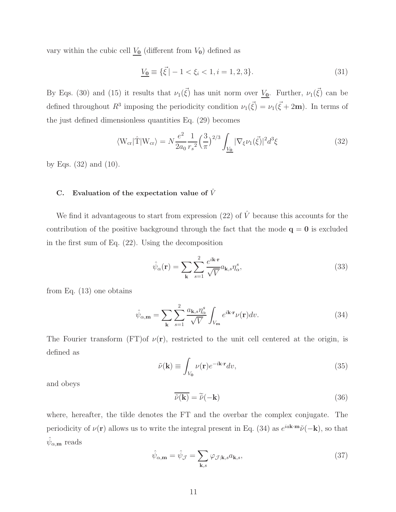vary within the cubic cell  $\underline{V_0}$  (different from  $V_0$ ) defined as

$$
\underline{V_0} \equiv \{ \vec{\xi} \mid -1 < \xi_i < 1, i = 1, 2, 3 \}. \tag{31}
$$

By Eqs. (30) and (15) it results that  $\nu_1(\vec{\xi})$  has unit norm over  $V_0$ . Further,  $\nu_1(\vec{\xi})$  can be defined throughout  $R^3$  imposing the periodicity condition  $\nu_1(\vec{\xi}) = \nu_1(\vec{\xi} + 2m)$ . In terms of the just defined dimensionless quantities Eq. (29) becomes

$$
\langle W_{\rm cr} | \hat{T} | W_{\rm cr} \rangle = N \frac{e^2}{2a_0} \frac{1}{r_s^2} \left(\frac{3}{\pi}\right)^{2/3} \int_{\underline{V_0}} |\nabla_{\xi} \nu_1(\vec{\xi})|^2 d^3 \xi \tag{32}
$$

by Eqs.  $(32)$  and  $(10)$ .

# C. Evaluation of the expectation value of  $\hat{V}$

We find it advantageous to start from expression (22) of  $\hat{V}$  because this accounts for the contribution of the positive background through the fact that the mode  $q = 0$  is excluded in the first sum of Eq. (22). Using the decomposition

$$
\hat{\psi}_{\alpha}(\mathbf{r}) = \sum_{\mathbf{k}} \sum_{s=1}^{2} \frac{e^{i\mathbf{k}\cdot\mathbf{r}}}{\sqrt{V}} a_{\mathbf{k},s} \eta_{\alpha}^{s},
$$
\n(33)

from Eq. (13) one obtains

$$
\hat{\psi}_{\alpha,\mathbf{m}} = \sum_{\mathbf{k}} \sum_{s=1}^{2} \frac{a_{\mathbf{k},s} \eta_{\alpha}^{s}}{\sqrt{V}} \int_{V_{\mathbf{m}}} e^{i\mathbf{k} \cdot \mathbf{r}} \nu(\mathbf{r}) dv.
$$
\n(34)

The Fourier transform (FT)of  $\nu(\mathbf{r})$ , restricted to the unit cell centered at the origin, is defined as

$$
\tilde{\nu}(\mathbf{k}) \equiv \int_{V_0} \nu(\mathbf{r}) e^{-i\mathbf{k} \cdot \mathbf{r}} dv,
$$
\n(35)

and obeys

$$
\overline{\tilde{\nu}(\mathbf{k})} = \tilde{\bar{\nu}}(-\mathbf{k})\tag{36}
$$

where, hereafter, the tilde denotes the FT and the overbar the complex conjugate. The periodicity of  $\nu(\mathbf{r})$  allows us to write the integral present in Eq. (34) as  $e^{i\mathbf{a}\mathbf{k}\cdot\mathbf{m}}\tilde{\nu}(-\mathbf{k})$ , so that  $\hat{\psi}_{\alpha,\mathbf{m}}$  reads

$$
\hat{\psi}_{\alpha,\mathbf{m}} = \hat{\psi}_{\mathcal{J}} = \sum_{\mathbf{k},s} \varphi_{\mathcal{J};\mathbf{k},s} a_{\mathbf{k},s},\tag{37}
$$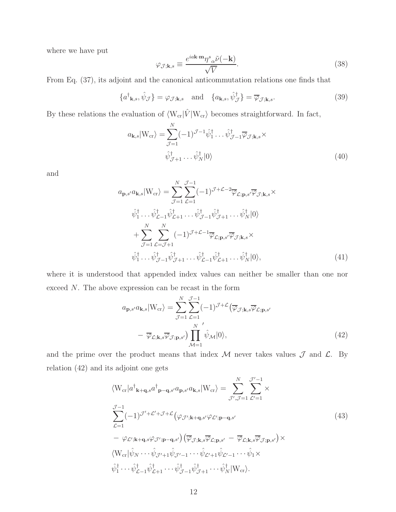where we have put

$$
\varphi_{\mathcal{J};\mathbf{k},s} \equiv \frac{e^{i a \mathbf{k} \cdot \mathbf{m}} \eta^s{}_{\alpha} \tilde{\nu}(-\mathbf{k})}{\sqrt{V}}.
$$
\n(38)

From Eq. (37), its adjoint and the canonical anticommutation relations one finds that

$$
\{a^{\dagger}_{\mathbf{k},s}, \hat{\psi}_{\mathcal{J}}\} = \varphi_{\mathcal{J};\mathbf{k},s} \quad \text{and} \quad \{a_{\mathbf{k},s}, \hat{\psi}_{\mathcal{J}}^{\dagger}\} = \overline{\varphi}_{\mathcal{J};\mathbf{k},s}.
$$
 (39)

By these relations the evaluation of  $\langle W_{\rm cr}| \hat{V} |W_{\rm cr} \rangle$  becomes straightforward. In fact,

$$
a_{\mathbf{k},s}|W_{\rm cr}\rangle = \sum_{\mathcal{J}=1}^{N} (-1)^{\mathcal{J}-1} \hat{\psi}_1^{\dagger} \dots \hat{\psi}_{\mathcal{J}-1}^{\dagger} \overline{\varphi}_{\mathcal{J};\mathbf{k},s} \times
$$
  

$$
\hat{\psi}_{\mathcal{J}+1}^{\dagger} \dots \hat{\psi}_N^{\dagger} |0\rangle
$$
 (40)

and

$$
a_{\mathbf{p},s'}a_{\mathbf{k},s}|W_{\rm cr}\rangle = \sum_{\mathcal{J}=1}^{N} \sum_{\mathcal{L}=1}^{\mathcal{J}-1} (-1)^{\mathcal{J}+\mathcal{L}-2} \overline{\varphi}_{\mathcal{L};\mathbf{p},s'} \overline{\varphi}_{\mathcal{J};\mathbf{k},s} \times
$$
  

$$
\hat{\psi}_{1}^{\dagger} \dots \hat{\psi}_{\mathcal{L}-1}^{\dagger} \hat{\psi}_{\mathcal{L}+1}^{\dagger} \dots \hat{\psi}_{\mathcal{J}-1}^{\dagger} \hat{\psi}_{\mathcal{J}+1}^{\dagger} \dots \hat{\psi}_{N}^{\dagger} |0\rangle
$$
  

$$
+ \sum_{\mathcal{J}=1}^{N} \sum_{\mathcal{L}=\mathcal{J}+1}^{N} (-1)^{\mathcal{J}+\mathcal{L}-1} \overline{\varphi}_{\mathcal{L};\mathbf{p},s'} \overline{\varphi}_{\mathcal{J};\mathbf{k},s} \times
$$
  

$$
\hat{\psi}_{1}^{\dagger} \dots \hat{\psi}_{\mathcal{J}-1}^{\dagger} \hat{\psi}_{\mathcal{J}+1}^{\dagger} \dots \hat{\psi}_{\mathcal{L}-1}^{\dagger} \hat{\psi}_{\mathcal{L}+1}^{\dagger} \dots \hat{\psi}_{N}^{\dagger} |0\rangle,
$$
 (41)

where it is understood that appended index values can neither be smaller than one nor exceed N. The above expression can be recast in the form

$$
a_{\mathbf{p},s'}a_{\mathbf{k},s}|W_{\text{cr}}\rangle = \sum_{\mathcal{J}=1}^{N} \sum_{\mathcal{L}=1}^{\mathcal{J}-1} (-1)^{\mathcal{J}+\mathcal{L}} \left(\overline{\varphi}_{\mathcal{J};\mathbf{k},s} \overline{\varphi}_{\mathcal{L};\mathbf{p},s'}\right)
$$

$$
- \overline{\varphi}_{\mathcal{L};\mathbf{k},s} \overline{\varphi}_{\mathcal{J};\mathbf{p},s'} \right) \prod_{\mathcal{M}=1}^{N} \hat{\psi}_{\mathcal{M}}|0\rangle,
$$
(42)

and the prime over the product means that index  $M$  never takes values  $\mathcal J$  and  $\mathcal L$ . By relation (42) and its adjoint one gets

$$
\langle W_{\rm cr}|a^{\dagger}_{\mathbf{k+q},s}a^{\dagger}_{\mathbf{p-q},s'}a_{\mathbf{p},s'}a_{\mathbf{k},s}|W_{\rm cr}\rangle = \sum_{\mathcal{J}',\mathcal{J}=1}^{N}\sum_{\mathcal{L}'=1}^{\mathcal{J}'-1} \times \sum_{\mathcal{L}=1}^{J-1} (-1)^{\mathcal{J}'+\mathcal{L}'+\mathcal{J}+\mathcal{L}} (\varphi_{\mathcal{J}';\mathbf{k+q},s'}\varphi_{\mathcal{L}';\mathbf{p-q},s'}) \n- \varphi_{\mathcal{L}';\mathbf{k+q},s}\varphi_{\mathcal{J}';\mathbf{p-q},s'}) \left(\overline{\varphi}_{\mathcal{J};\mathbf{k},s}\overline{\varphi}_{\mathcal{L};\mathbf{p},s'} - \overline{\varphi}_{\mathcal{L};\mathbf{k},s}\overline{\varphi}_{\mathcal{J};\mathbf{p},s'}\right) \times \langle W_{\rm cr}|\hat{\psi}_N \cdots \hat{\psi}_{\mathcal{J}'+1}\hat{\psi}_{\mathcal{J}'-1} \cdots \hat{\psi}_{\mathcal{L}'+1}\hat{\psi}_{\mathcal{L}'-1} \cdots \hat{\psi}_1 \times \n\hat{\psi}_1^{\dagger} \cdots \hat{\psi}_{\mathcal{L}-1}^{\dagger}\hat{\psi}_{\mathcal{L}+1}^{\dagger} \cdots \hat{\psi}_{\mathcal{J}-1}^{\dagger}\hat{\psi}_{\mathcal{J}+1}^{\dagger} \cdots \hat{\psi}_N^{\dagger}|W_{\rm cr}\rangle.
$$
\n(43)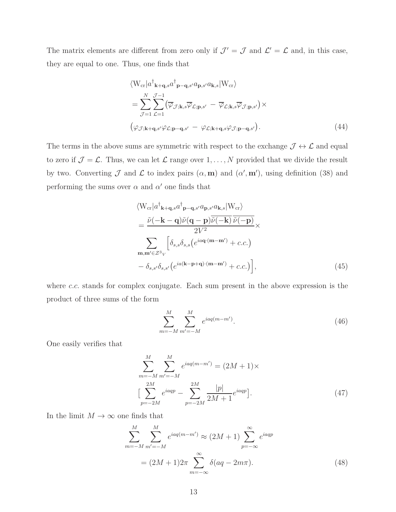The matrix elements are different from zero only if  $\mathcal{J}' = \mathcal{J}$  and  $\mathcal{L}' = \mathcal{L}$  and, in this case, they are equal to one. Thus, one finds that

$$
\langle W_{\rm cr}|a^{\dagger}_{\mathbf{k}+\mathbf{q},s}a^{\dagger}_{\mathbf{p}-\mathbf{q},s'}a_{\mathbf{p},s'}a_{\mathbf{k},s}|W_{\rm cr}\rangle
$$
  
=
$$
\sum_{\mathcal{J}=1}^{N}\sum_{\mathcal{L}=1}^{\mathcal{J}-1} (\overline{\varphi}_{\mathcal{J};\mathbf{k},s}\overline{\varphi}_{\mathcal{L};\mathbf{p},s'} - \overline{\varphi}_{\mathcal{L};\mathbf{k},s}\overline{\varphi}_{\mathcal{J};\mathbf{p},s'}) \times
$$
  

$$
(\varphi_{\mathcal{J};\mathbf{k}+\mathbf{q},s'}\varphi_{\mathcal{L};\mathbf{p}-\mathbf{q},s'} - \varphi_{\mathcal{L};\mathbf{k}+\mathbf{q},s}\varphi_{\mathcal{J};\mathbf{p}-\mathbf{q},s'}).
$$
(44)

The terms in the above sums are symmetric with respect to the exchange  $\mathcal{J} \leftrightarrow \mathcal{L}$  and equal to zero if  $\mathcal{J} = \mathcal{L}$ . Thus, we can let  $\mathcal{L}$  range over  $1, \ldots, N$  provided that we divide the result by two. Converting  $\mathcal J$  and  $\mathcal L$  to index pairs  $(\alpha, \mathbf m)$  and  $(\alpha', \mathbf m')$ , using definition (38) and performing the sums over  $\alpha$  and  $\alpha'$  one finds that

$$
\langle W_{cr}|a^{\dagger}_{\mathbf{k+q},s}a^{\dagger}_{\mathbf{p-q},s'}a_{\mathbf{p},s'}a_{\mathbf{k},s}|W_{cr}\rangle
$$
  
= 
$$
\frac{\tilde{\nu}(-\mathbf{k}-\mathbf{q})\tilde{\nu}(\mathbf{q}-\mathbf{p})\tilde{\nu}(-\mathbf{k})}{2V^2}\times
$$
  

$$
\sum_{\mathbf{m},\mathbf{m}'\in\mathcal{Z}^3V} \left[\delta_{s,s}\delta_{s,s}\left(e^{ia\mathbf{q}\cdot(\mathbf{m}-\mathbf{m}')}+c.c.\right)\right],
$$
  

$$
-\delta_{s,s'}\delta_{s,s'}\left(e^{ia(\mathbf{k}-\mathbf{p}+\mathbf{q})\cdot(\mathbf{m}-\mathbf{m}')}+c.c.\right),
$$
 (45)

where c.c. stands for complex conjugate. Each sum present in the above expression is the product of three sums of the form

$$
\sum_{m=-M}^{M} \sum_{m'=-M}^{M} e^{iaq(m-m')}.
$$
\n(46)

One easily verifies that

$$
\sum_{m=-M}^{M} \sum_{m'=-M}^{M} e^{iaq(m-m')} = (2M+1) \times
$$
  
\n
$$
\left[ \sum_{p=-2M}^{2M} e^{iaqp} - \sum_{p=-2M}^{2M} \frac{|p|}{2M+1} e^{iaqp} \right].
$$
 (47)

In the limit  $M \to \infty$  one finds that

$$
\sum_{m=-M}^{M} \sum_{m'=-M}^{M} e^{iaq(m-m')} \approx (2M+1) \sum_{p=-\infty}^{\infty} e^{iaqp}
$$
  
=  $(2M+1)2\pi \sum_{m=-\infty}^{\infty} \delta(aq-2m\pi).$  (48)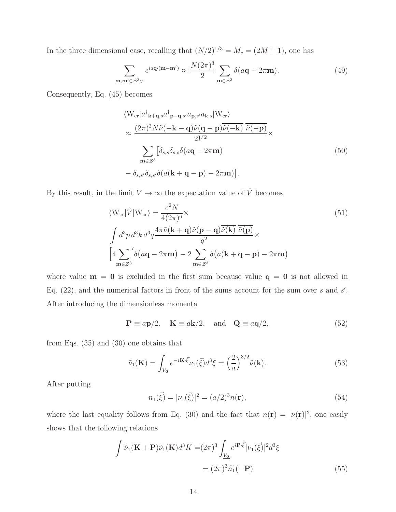In the three dimensional case, recalling that  $(N/2)^{1/3} = M_c = (2M + 1)$ , one has

$$
\sum_{\mathbf{m}, \mathbf{m'} \in \mathcal{Z}^3 V} e^{ia\mathbf{q} \cdot (\mathbf{m} - \mathbf{m'})} \approx \frac{N(2\pi)^3}{2} \sum_{\mathbf{m} \in \mathcal{Z}^3} \delta(a\mathbf{q} - 2\pi \mathbf{m}).
$$
 (49)

Consequently, Eq. (45) becomes

$$
\langle W_{cr}|a^{\dagger}_{\mathbf{k}+\mathbf{q},s}a^{\dagger}_{\mathbf{p}-\mathbf{q},s'}a_{\mathbf{p},s'}a_{\mathbf{k},s}|W_{cr}\rangle
$$
  
\n
$$
\approx \frac{(2\pi)^3 N\tilde{\nu}(-\mathbf{k}-\mathbf{q})\tilde{\nu}(\mathbf{q}-\mathbf{p})\overline{\tilde{\nu}(-\mathbf{k})}\overline{\tilde{\nu}(-\mathbf{p})}}{2V^2} \times
$$
  
\n
$$
\sum_{\mathbf{m}\in\mathcal{Z}^3} [\delta_{s,s}\delta_{s,s}\delta(a\mathbf{q}-2\pi\mathbf{m})
$$
  
\n
$$
-\delta_{s,s'}\delta_{s,s'}\delta(a(\mathbf{k}+\mathbf{q}-\mathbf{p})-2\pi\mathbf{m})].
$$
 (50)

By this result, in the limit  $V\rightarrow\infty$  the expectation value of  $\hat{V}$  becomes

$$
\langle W_{\rm cr} | \hat{V} | W_{\rm cr} \rangle = \frac{e^2 N}{4(2\pi)^6} \times
$$
\n
$$
\int d^3 p \, d^3 k \, d^3 q \frac{4\pi \tilde{\nu} (\mathbf{k} + \mathbf{q}) \tilde{\nu} (\mathbf{p} - \mathbf{q}) \overline{\tilde{\nu} (\mathbf{k})} \, \overline{\tilde{\nu} (\mathbf{p})}}{q^2} \times
$$
\n
$$
\left[ 4 \sum_{\mathbf{m} \in \mathcal{Z}^3} ' \delta (a\mathbf{q} - 2\pi \mathbf{m}) - 2 \sum_{\mathbf{m} \in \mathcal{Z}^3} \delta (a(\mathbf{k} + \mathbf{q} - \mathbf{p}) - 2\pi \mathbf{m}) \right]
$$
\n(51)

where value  $m = 0$  is excluded in the first sum because value  $q = 0$  is not allowed in Eq.  $(22)$ , and the numerical factors in front of the sums account for the sum over s and s'. After introducing the dimensionless momenta

$$
\mathbf{P} \equiv a\mathbf{p}/2, \quad \mathbf{K} \equiv a\mathbf{k}/2, \quad \text{and} \quad \mathbf{Q} \equiv a\mathbf{q}/2,
$$
 (52)

from Eqs. (35) and (30) one obtains that

$$
\tilde{\nu}_1(\mathbf{K}) = \int_{\underline{V_0}} e^{-i\mathbf{K}\cdot\vec{\xi}} \nu_1(\vec{\xi}) d^3 \xi = \left(\frac{2}{a}\right)^{3/2} \tilde{\nu}(\mathbf{k}).\tag{53}
$$

After putting

$$
n_1(\vec{\xi}) = |\nu_1(\vec{\xi})|^2 = (a/2)^3 n(\mathbf{r}),\tag{54}
$$

where the last equality follows from Eq. (30) and the fact that  $n(\mathbf{r}) = |\nu(\mathbf{r})|^2$ , one easily shows that the following relations

$$
\int \tilde{\nu}_1(\mathbf{K} + \mathbf{P}) \tilde{\nu}_1(\mathbf{K}) d^3 K = (2\pi)^3 \int_{\underline{V_0}} e^{i \mathbf{P} \cdot \vec{\xi}} |\nu_1(\vec{\xi})|^2 d^3 \xi
$$

$$
= (2\pi)^3 \tilde{n_1}(-\mathbf{P}) \tag{55}
$$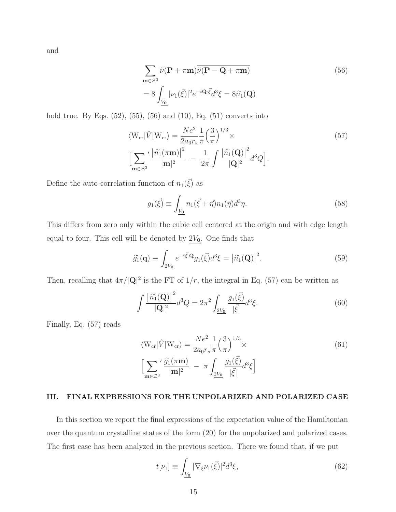and

$$
\sum_{\mathbf{m}\in\mathcal{Z}^3} \tilde{\nu}(\mathbf{P} + \pi \mathbf{m}) \overline{\tilde{\nu}(\mathbf{P} - \mathbf{Q} + \pi \mathbf{m})}
$$
(56)  
= 8 
$$
\int_{\underline{V_0}} |\nu_1(\vec{\xi})|^2 e^{-i\mathbf{Q}\cdot\vec{\xi}} d^3 \xi = 8\tilde{n}_1(\mathbf{Q})
$$

hold true. By Eqs.  $(52)$ ,  $(55)$ ,  $(56)$  and  $(10)$ , Eq.  $(51)$  converts into

$$
\langle W_{\rm cr} | \hat{V} | W_{\rm cr} \rangle = \frac{Ne^2}{2a_0 r_s} \frac{1}{\pi} \left(\frac{3}{\pi}\right)^{1/3} \times
$$
  
\n
$$
\left[ \sum_{\mathbf{m} \in \mathcal{Z}^3} ' \frac{\left| \tilde{n}_1(\pi \mathbf{m}) \right|^2}{|\mathbf{m}|^2} - \frac{1}{2\pi} \int \frac{\left| \tilde{n}_1(\mathbf{Q}) \right|^2}{|\mathbf{Q}|^2} d^3 Q \right].
$$
\n(57)

Define the auto-correlation function of  $n_1(\vec{\xi})$  as

$$
g_1(\vec{\xi}) \equiv \int_{\underline{V_0}} n_1(\vec{\xi} + \vec{\eta}) n_1(\vec{\eta}) d^3 \eta. \tag{58}
$$

This differs from zero only within the cubic cell centered at the origin and with edge length equal to four. This cell will be denoted by  $2V_0$ . One finds that

$$
\widetilde{g}_1(\mathbf{q}) \equiv \int_{\underline{2V_0}} e^{-i\vec{\xi} \cdot \mathbf{Q}} g_1(\vec{\xi}) d^3 \xi = |\widetilde{n}_1(\mathbf{Q})|^2.
$$
\n(59)

Then, recalling that  $4\pi/|\mathbf{Q}|^2$  is the FT of  $1/r$ , the integral in Eq. (57) can be written as

$$
\int \frac{\left[\tilde{n_1}(\mathbf{Q})\right]^2}{|\mathbf{Q}|^2} d^3 Q = 2\pi^2 \int_{\frac{2V_0}{\sqrt{|\vec{\xi}|}}} \frac{g_1(\vec{\xi})}{|\vec{\xi}|} d^3 \xi. \tag{60}
$$

Finally, Eq. (57) reads

$$
\langle W_{\rm cr} | \hat{V} | W_{\rm cr} \rangle = \frac{Ne^2}{2a_0 r_s} \frac{1}{\pi} \left(\frac{3}{\pi}\right)^{1/3} \times
$$
  
\n
$$
\left[ \sum_{\mathbf{m} \in \mathcal{Z}^3} \frac{\tilde{g}_1(\pi \mathbf{m})}{|\mathbf{m}|^2} - \pi \int_{\frac{2V_0}{\pi}} \frac{g_1(\vec{\xi})}{|\vec{\xi}|} d^3 \xi \right]
$$
\n(61)

### III. FINAL EXPRESSIONS FOR THE UNPOLARIZED AND POLARIZED CASE

In this section we report the final expressions of the expectation value of the Hamiltonian over the quantum crystalline states of the form (20) for the unpolarized and polarized cases. The first case has been analyzed in the previous section. There we found that, if we put

$$
t[\nu_1] \equiv \int_{\underline{V_0}} |\nabla_{\xi} \nu_1(\vec{\xi})|^2 d^3 \xi,\tag{62}
$$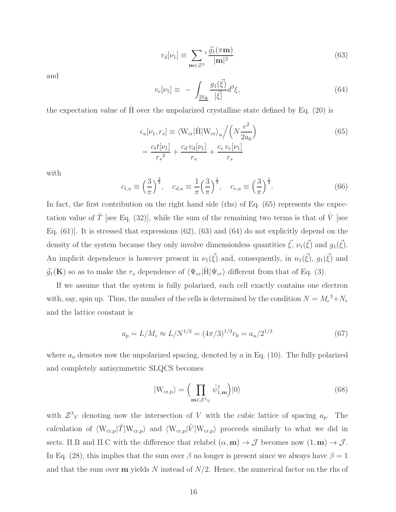$$
v_d[\nu_1] \equiv \sum_{\mathbf{m}\in\mathcal{Z}^3} \frac{\tilde{g_1}(\pi \mathbf{m})}{|\mathbf{m}|^2}
$$
(63)

and

$$
v_e[\nu_1] \equiv -\int_{\frac{2V_0}{\sqrt{\vec{\xi}}} \frac{g_1(\vec{\xi})}{|\vec{\xi}|} d^3 \xi, \tag{64}
$$

the expectation value of  $\hat{H}$  over the unpolarized crystalline state defined by Eq. (20) is

$$
\epsilon_u[\nu_1, r_s] \equiv \langle W_{cr} | \hat{H} | W_{cr} \rangle_u / \left( N \frac{e^2}{2a_0} \right)
$$
  
=  $\frac{c_t t[\nu_1]}{r_s^2} + \frac{c_d v_d[\nu_1]}{r_s} + \frac{c_e v_e[\nu_1]}{r_s}$  (65)

with

$$
c_{t,u} \equiv \left(\frac{3}{\pi}\right)^{\frac{2}{3}}, \quad c_{d,u} \equiv \frac{1}{\pi} \left(\frac{3}{\pi}\right)^{\frac{1}{3}}, \quad c_{e,u} \equiv \left(\frac{3}{\pi}\right)^{\frac{1}{3}}.
$$
 (66)

In fact, the first contribution on the right hand side (rhs) of Eq. (65) represents the expectation value of  $\hat{T}$  [see Eq. (32)], while the sum of the remaining two terms is that of  $\hat{V}$  [see Eq.  $(61)$ ]. It is stressed that expressions  $(62)$ ,  $(63)$  and  $(64)$  do not explicitly depend on the density of the system because they only involve dimensionless quantities  $\vec{\xi}, \nu_1(\vec{\xi})$  and  $g_1(\vec{\xi})$ . An implicit dependence is however present in  $\nu_1(\vec{\xi})$  and, consequently, in  $n_1(\vec{\xi})$ ,  $g_1(\vec{\xi})$  and  $\tilde{g}_1(\mathbf{K})$  so as to make the  $r_s$  dependence of  $\langle \Psi_{cr} | \hat{H} | \Psi_{cr} \rangle$  different from that of Eq. (3).

If we assume that the system is fully polarized, each cell exactly contains one electron with, say, spin up. Thus, the number of the cells is determined by the condition  $N = M_c^3 + N_r$ and the lattice constant is

$$
a_p = L/M_c \approx L/N^{1/3} = (4\pi/3)^{1/3} r_0 = a_u/2^{1/3}
$$
 (67)

where  $a_u$  denotes now the unpolarized spacing, denoted by  $a$  in Eq. (10). The fully polarized and completely antisymmetric SLQCS becomes

$$
|W_{\text{cr,p}}\rangle = \left(\prod_{\mathbf{m}\in\mathcal{Z}^3} \hat{\psi}_{1,\mathbf{m}}^\dagger\right)|0\rangle\tag{68}
$$

with  $\mathcal{Z}^3$  denoting now the intersection of V with the cubic lattice of spacing  $a_p$ . The calculation of  $\langle W_{cr,p}|T|W_{cr,p}\rangle$  and  $\langle W_{cr,p}|V|W_{cr,p}\rangle$  proceeds similarly to what we did in sects. II.B and II.C with the difference that relabel  $(\alpha, \mathbf{m}) \to \mathcal{J}$  becomes now  $(1, \mathbf{m}) \to \mathcal{J}$ . In Eq. (28), this implies that the sum over  $\beta$  no longer is present since we always have  $\beta = 1$ and that the sum over  $m$  yields N instead of  $N/2$ . Hence, the numerical factor on the rhs of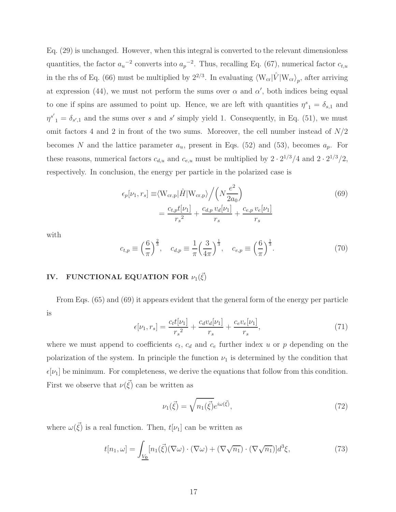Eq. (29) is unchanged. However, when this integral is converted to the relevant dimensionless quantities, the factor  $a_u^{-2}$  converts into  $a_p^{-2}$ . Thus, recalling Eq. (67), numerical factor  $c_{t,u}$ in the rhs of Eq. (66) must be multiplied by  $2^{2/3}$ . In evaluating  $\langle W_{cr} | \hat{V} | W_{cr} \rangle_p$ , after arriving at expression (44), we must not perform the sums over  $\alpha$  and  $\alpha'$ , both indices being equal to one if spins are assumed to point up. Hence, we are left with quantities  $\eta^s{}_1 = \delta_{s,1}$  and  $\eta^{s'}_{1} = \delta_{s',1}$  and the sums over s and s' simply yield 1. Consequently, in Eq. (51), we must omit factors 4 and 2 in front of the two sums. Moreover, the cell number instead of  $N/2$ becomes N and the lattice parameter  $a_u$ , present in Eqs. (52) and (53), becomes  $a_p$ . For these reasons, numerical factors  $c_{d,u}$  and  $c_{e,u}$  must be multiplied by  $2 \cdot 2^{1/3}/4$  and  $2 \cdot 2^{1/3}/2$ , respectively. In conclusion, the energy per particle in the polarized case is

$$
\epsilon_p[\nu_1, r_s] \equiv \langle W_{cr,p} | \hat{H} | W_{cr,p} \rangle / \left( N \frac{e^2}{2a_0} \right)
$$

$$
= \frac{c_{t,p} t[\nu_1]}{r_s^2} + \frac{c_{d,p} v_d[\nu_1]}{r_s} + \frac{c_{e,p} v_e[\nu_1]}{r_s}
$$
(69)

with

$$
c_{t,p} \equiv \left(\frac{6}{\pi}\right)^{\frac{2}{3}}, \quad c_{d,p} \equiv \frac{1}{\pi} \left(\frac{3}{4\pi}\right)^{\frac{1}{3}}, \quad c_{e,p} \equiv \left(\frac{6}{\pi}\right)^{\frac{1}{3}}.
$$
 (70)

# IV. FUNCTIONAL EQUATION FOR  $\nu_1(\vec{\xi})$

From Eqs. (65) and (69) it appears evident that the general form of the energy per particle is

$$
\epsilon[\nu_1, r_s] = \frac{c_t t[\nu_1]}{r_s^2} + \frac{c_d v_d[\nu_1]}{r_s} + \frac{c_e v_e[\nu_1]}{r_s},\tag{71}
$$

where we must append to coefficients  $c_t$ ,  $c_d$  and  $c_e$  further index u or p depending on the polarization of the system. In principle the function  $\nu_1$  is determined by the condition that  $\epsilon[\nu_1]$  be minimum. For completeness, we derive the equations that follow from this condition. First we observe that  $\nu(\vec{\xi})$  can be written as

$$
\nu_1(\vec{\xi}) = \sqrt{n_1(\vec{\xi})} e^{i\omega(\vec{\xi})},\tag{72}
$$

where  $\omega(\vec{\xi})$  is a real function. Then,  $t[\nu_1]$  can be written as

$$
t[n_1,\omega] = \int_{\underline{V_0}} [n_1(\vec{\xi})(\nabla\omega) \cdot (\nabla\omega) + (\nabla\sqrt{n_1}) \cdot (\nabla\sqrt{n_1})]d^3\xi,
$$
 (73)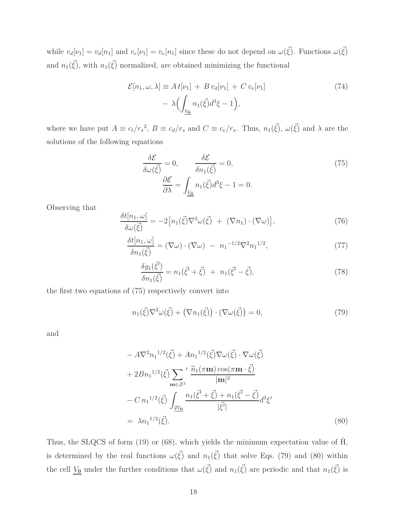while  $v_d[\nu_1] = v_d[n_1]$  and  $v_e[\nu_1] = v_e[n_1]$  since these do not depend on  $\omega(\vec{\xi})$ . Functions  $\omega(\vec{\xi})$ and  $n_1(\vec{\xi})$ , with  $n_1(\vec{\xi})$  normalized, are obtained minimizing the functional

$$
\mathcal{E}[n_1, \omega, \lambda] \equiv A t[\nu_1] + B v_d[\nu_1] + C v_e[\nu_1]
$$
  
-  $\lambda \Biggl( \int_{\underline{V_0}} n_1(\vec{\xi}) d^3 \xi - 1 \Biggr),$  (74)

where we have put  $A \equiv c_t/r_s^2$ ,  $B \equiv c_d/r_s$  and  $C \equiv c_e/r_s$ . Thus,  $n_1(\vec{\xi})$ ,  $\omega(\vec{\xi})$  and  $\lambda$  are the solutions of the following equations

$$
\frac{\delta \mathcal{E}}{\delta \omega(\vec{\xi})} = 0, \qquad \frac{\delta \mathcal{E}}{\delta n_1(\vec{\xi})} = 0,
$$
\n
$$
\frac{\partial \mathcal{E}}{\partial \lambda} = \int_{\underline{V_0}} n_1(\vec{\xi}) d^3 \xi - 1 = 0.
$$
\n(75)

Observing that

$$
\frac{\delta t[n_1,\omega]}{\delta \omega(\vec{\xi})} = -2\big[n_1(\vec{\xi})\nabla^2 \omega(\vec{\xi}) + (\nabla n_1) \cdot (\nabla \omega)\big],\tag{76}
$$

$$
\frac{\delta t[n_1,\omega]}{\delta n_1(\vec{\xi})} = (\nabla\omega) \cdot (\nabla\omega) - n_1^{-1/2} \nabla^2 n_1^{-1/2},\tag{77}
$$

$$
\frac{\delta g_1(\vec{\xi'})}{\delta n_1(\vec{\xi})} = n_1(\vec{\xi'} + \vec{\xi}) + n_1(\vec{\xi'} - \vec{\xi}),\tag{78}
$$

the first two equations of (75) respectively convert into

$$
n_1(\vec{\xi})\nabla^2\omega(\vec{\xi}) + (\nabla n_1(\vec{\xi})) \cdot (\nabla \omega(\vec{\xi})) = 0,
$$
\n(79)

and

$$
- A \nabla^2 n_1^{1/2} (\vec{\xi}) + A n_1^{1/2} (\vec{\xi}) \nabla \omega (\vec{\xi}) \cdot \nabla \omega (\vec{\xi})
$$
  
+ 
$$
2 B n_1^{1/2} (\vec{\xi}) \sum_{\mathbf{m} \in \mathcal{Z}^3}{}' \frac{\tilde{n}_1 (\pi \mathbf{m}) \cos(\pi \mathbf{m} \cdot \vec{\xi})}{|\mathbf{m}|^2}
$$
  
- 
$$
C n_1^{1/2} (\vec{\xi}) \int_{\frac{2V_0}{\vec{\xi}}} \frac{n_1 (\vec{\xi'} + \vec{\xi}) + n_1 (\vec{\xi'} - \vec{\xi})}{|\vec{\xi'}|} d^3 \xi'
$$
  
= 
$$
\lambda n_1^{1/2} (\vec{\xi}). \tag{80}
$$

Thus, the SLQCS of form  $(19)$  or  $(68)$ , which yields the minimum expectation value of  $\hat{H}$ , is determined by the real functions  $\omega(\vec{\xi})$  and  $n_1(\vec{\xi})$  that solve Eqs. (79) and (80) within the cell  $V_0$  under the further conditions that  $\omega(\vec{\xi})$  and  $n_1(\vec{\xi})$  are periodic and that  $n_1(\vec{\xi})$  is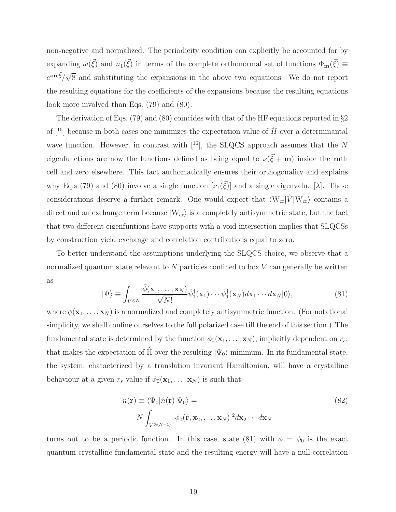non-negative and normalized. The periodicity condition can explicitly be accounted for by expanding  $\omega(\vec{\xi})$  and  $n_1(\vec{\xi})$  in terms of the complete orthonormal set of functions  $\Phi_{\mathbf{m}}(\vec{\xi}) \equiv$  $e^{i \mathbf{m} \cdot \vec{\xi}} / \sqrt{8}$  and substituting the expansions in the above two equations. We do not report the resulting equations for the coefficients of the expansions because the resulting equations look more involved than Eqs. (79) and (80).

The derivation of Eqs. (79) and (80) coincides with that of the HF equations reported in §2 of  $[16]$  because in both cases one minimizes the expectation value of  $\hat{H}$  over a determinantal wave function. However, in contrast with  $[$ <sup>16</sup> $]$ , the SLQCS approach assumes that the N eigenfunctions are now the functions defined as being equal to  $\nu(\vec{\xi} + \mathbf{m})$  inside the **m**th cell and zero elsewhere. This fact authomatically ensures their orthogonality and explains why Eq.s (79) and (80) involve a single function  $[\nu_1(\vec{\xi})]$  and a single eigenvalue [ $\lambda$ ]. These considerations deserve a further remark. One would expect that  $\langle W_{cr}|\hat{V}|W_{cr}\rangle$  contains a direct and an exchange term because  $|W_{cr}\rangle$  is a completely antisymmetric state, but the fact that two different eigenfuntions have supports with a void intersection implies that SLQCSs by construction yield exchange and correlation contributions equal to zero.

To better understand the assumptions underlying the SLQCS choice, we observe that a normalized quantum state relevant to  $N$  particles confined to box  $V$  can generally be written as

$$
|\Psi\rangle \equiv \int_{V^{\otimes N}} \frac{\bar{\phi}(\mathbf{x}_1, \dots, \mathbf{x}_N)}{\sqrt{N!}} \hat{\psi}_1^{\dagger}(\mathbf{x}_1) \cdots \hat{\psi}_1^{\dagger}(\mathbf{x}_N) d\mathbf{x}_1 \cdots d\mathbf{x}_N |0\rangle, \tag{81}
$$

where  $\phi(\mathbf{x}_1, \ldots, \mathbf{x}_N)$  is a normalized and completely antisymmetric function. (For notational simplicity, we shall confine ourselves to the full polarized case till the end of this section.) The fundamental state is determined by the function  $\phi_0(\mathbf{x}_1, \dots, \mathbf{x}_N)$ , implicitly dependent on  $r_s$ , that makes the expectation of H over the resulting  $|\Psi_0\rangle$  minimum. In its fundamental state, the system, characterized by a translation invariant Hamiltonian, will have a crystalline behaviour at a given  $r_s$  value if  $\phi_0(\mathbf{x}_1, \dots, \mathbf{x}_N)$  is such that

$$
n(\mathbf{r}) \equiv \langle \Psi_0 | \hat{n}(\mathbf{r}) | \Psi_0 \rangle =
$$
  
\n
$$
N \int_{V^{\otimes (N-1)}} |\phi_0(\mathbf{r}, \mathbf{x}_2, \dots, \mathbf{x}_N)|^2 d\mathbf{x}_2 \cdots d\mathbf{x}_N
$$
\n(82)

turns out to be a periodic function. In this case, state (81) with  $\phi = \phi_0$  is the exact quantum crystalline fundamental state and the resulting energy will have a null correlation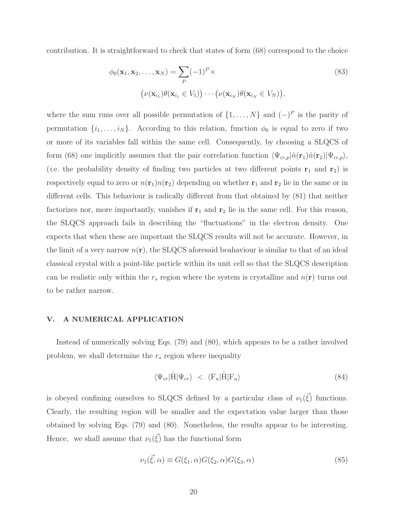contribution. It is straightforward to check that states of form (68) correspond to the choice

$$
\phi_0(\mathbf{x}_1, \mathbf{x}_2, \dots, \mathbf{x}_N) = \sum_P (-1)^P \times
$$
\n
$$
(\nu(\mathbf{x}_{i_1}) \theta(\mathbf{x}_{i_1} \in V_1)) \cdots (\nu(\mathbf{x}_{i_N}) \theta(\mathbf{x}_{i_N} \in V_N)),
$$
\n(83)

where the sum runs over all possible permutation of  $\{1, \ldots, N\}$  and  $(-)^P$  is the parity of permutation  $\{i_1, \ldots, i_N\}$ . According to this relation, function  $\phi_0$  is equal to zero if two or more of its variables fall within the same cell. Consequently, by choosing a SLQCS of form (68) one implicitly assumes that the pair correlation function  $\langle \Psi_{cr,p}|\hat{n}(\mathbf{r}_1)\hat{n}(\mathbf{r}_2)|\Psi_{cr,p}\rangle$ , (*i.e.* the probability density of finding two particles at two different points  $\mathbf{r}_1$  and  $\mathbf{r}_2$ ) is respectively equal to zero or  $n(\mathbf{r}_1)n(\mathbf{r}_2)$  depending on whether  $\mathbf{r}_1$  and  $\mathbf{r}_2$  lie in the same or in different cells. This behaviour is radically different from that obtained by (81) that neither factorizes nor, more importantly, vanishes if  $r_1$  and  $r_2$  lie in the same cell. For this reason, the SLQCS approach fails in describing the "fluctuations" in the electron density. One expects that when these are important the SLQCS results will not be accurate. However, in the limit of a very narrow  $n(\mathbf{r})$ , the SLQCS aforesaid beahaviour is similar to that of an ideal classical crystal with a point-like particle within its unit cell so that the SLQCS description can be realistic only within the  $r_s$  region where the system is crystalline and  $n(\mathbf{r})$  turns out to be rather narrow.

### V. A NUMERICAL APPLICATION

Instead of numerically solving Eqs. (79) and (80), which appears to be a rather involved problem, we shall determine the  $r_s$  region where inequality

$$
\langle \Psi_{cr} | \hat{H} | \Psi_{cr} \rangle \langle \mathbf{F}_u | \hat{H} | \mathbf{F}_u \rangle \tag{84}
$$

is obeyed confining ourselves to SLQCS defined by a particular class of  $\nu_1(\vec{\xi})$  functions. Clearly, the resulting region will be smaller and the expectation value larger than those obtained by solving Eqs. (79) and (80). Nonetheless, the results appear to be interesting. Hence, we shall assume that  $\nu_1(\vec{\xi})$  has the functional form

$$
\nu_1(\vec{\xi}, \alpha) \equiv G(\xi_1, \alpha) G(\xi_2, \alpha) G(\xi_3, \alpha) \tag{85}
$$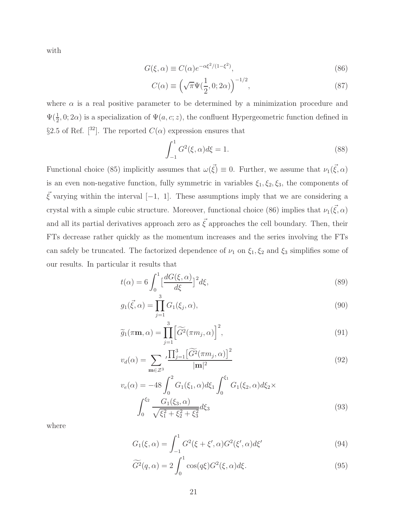with

$$
G(\xi, \alpha) \equiv C(\alpha)e^{-\alpha \xi^2/(1-\xi^2)},\tag{86}
$$

$$
C(\alpha) \equiv \left(\sqrt{\pi}\Psi(\frac{1}{2}, 0; 2\alpha)\right)^{-1/2},\tag{87}
$$

where  $\alpha$  is a real positive parameter to be determined by a minimization procedure and  $\Psi(\frac{1}{2},0;2\alpha)$  is a specialization of  $\Psi(a,c;z)$ , the confluent Hypergeometric function defined in §2.5 of Ref. [32]. The reported  $C(\alpha)$  expression ensures that

$$
\int_{-1}^{1} G^2(\xi, \alpha) d\xi = 1.
$$
 (88)

Functional choice (85) implicitly assumes that  $\omega(\vec{\xi}) \equiv 0$ . Further, we assume that  $\nu_1(\vec{\xi}, \alpha)$ is an even non-negative function, fully symmetric in variables  $\xi_1, \xi_2, \xi_3$ , the components of  $\vec{\xi}$  varying within the interval [−1, 1]. These assumptions imply that we are considering a crystal with a simple cubic structure. Moreover, functional choice (86) implies that  $\nu_1(\vec{\xi}, \alpha)$ and all its partial derivatives approach zero as  $\vec{\xi}$  approaches the cell boundary. Then, their FTs decrease rather quickly as the momentum increases and the series involving the FTs can safely be truncated. The factorized dependence of  $\nu_1$  on  $\xi_1, \xi_2$  and  $\xi_3$  simplifies some of our results. In particular it results that

$$
t(\alpha) = 6 \int_0^1 \left[ \frac{dG(\xi, \alpha)}{d\xi} \right]^2 d\xi,
$$
\n(89)

$$
g_1(\vec{\xi}, \alpha) = \prod_{j=1}^3 G_1(\xi_j, \alpha),
$$
\n(90)

$$
\widetilde{g}_1(\pi \mathbf{m}, \alpha) = \prod_{j=1}^3 \left[ \widetilde{G}^2(\pi m_j, \alpha) \right]^2, \tag{91}
$$

$$
v_d(\alpha) = \sum_{\mathbf{m}\in\mathcal{Z}^3} \frac{\prod_{j=1}^3 \left[\widetilde{G}^2(\pi m_j, \alpha)\right]^2}{|\mathbf{m}|^2}
$$
(92)

$$
v_e(\alpha) = -48 \int_0^2 G_1(\xi_1, \alpha) d\xi_1 \int_0^{\xi_1} G_1(\xi_2, \alpha) d\xi_2 \times
$$

$$
\int_0^{\xi_2} \frac{G_1(\xi_3, \alpha)}{\sqrt{\xi_1^2 + \xi_2^2 + \xi_3^2}} d\xi_3
$$
(93)

where

$$
G_1(\xi, \alpha) = \int_{-1}^{1} G^2(\xi + \xi', \alpha) G^2(\xi', \alpha) d\xi'
$$
 (94)

$$
\widetilde{G}^2(q,\alpha) = 2 \int_0^1 \cos(q\xi) G^2(\xi,\alpha) d\xi.
$$
\n(95)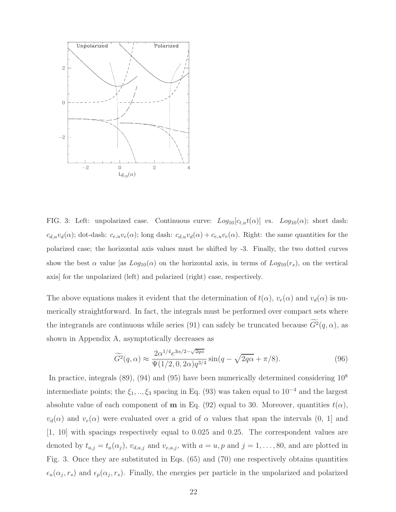

FIG. 3: Left: unpolarized case. Continuous curve:  $Log_{10}[c_{t,u}t(\alpha)]$  vs.  $Log_{10}(\alpha)$ ; short dash:  $c_{d,u}v_d(\alpha)$ ; dot-dash:  $c_{e,u}v_e(\alpha)$ ; long dash:  $c_{d,u}v_d(\alpha) + c_{e,u}v_e(\alpha)$ . Right: the same quantities for the polarized case; the horizontal axis values must be shifted by -3. Finally, the two dotted curves show the best  $\alpha$  value [as  $Log_{10}(\alpha)$  on the horizontal axis, in terms of  $Log_{10}(r_s)$ , on the vertical axis] for the unpolarized (left) and polarized (right) case, respectively.

The above equations makes it evident that the determination of  $t(\alpha)$ ,  $v_e(\alpha)$  and  $v_d(\alpha)$  is numerically straightforward. In fact, the integrals must be performed over compact sets where the integrands are continuous while series (91) can safely be truncated because  $G^2(q, \alpha)$ , as shown in Appendix A, asymptotically decreases as

$$
\widetilde{G}^2(q,\alpha) \approx \frac{2\alpha^{1/4}e^{3\alpha/2 - \sqrt{2q\alpha}}}{\Psi(1/2,0,2\alpha)q^{3/4}}\sin(q-\sqrt{2q\alpha}+\pi/8). \tag{96}
$$

In practice, integrals  $(89)$ ,  $(94)$  and  $(95)$  have been numerically determined considering  $10<sup>8</sup>$ intermediate points; the  $\xi_1, ..., \xi_3$  spacing in Eq. (93) was taken equal to 10<sup>-4</sup> and the largest absolute value of each component of **m** in Eq. (92) equal to 30. Moreover, quantities  $t(\alpha)$ ,  $v_d(\alpha)$  and  $v_e(\alpha)$  were evaluated over a grid of  $\alpha$  values that span the intervals  $(0, 1]$  and [1, 10] with spacings respectively equal to 0.025 and 0.25. The correspondent values are denoted by  $t_{a,j} = t_a(\alpha_j)$ ,  $v_{d,a,j}$  and  $v_{e,a,j}$ , with  $a = u, p$  and  $j = 1, \ldots, 80$ , and are plotted in Fig. 3. Once they are substituted in Eqs. (65) and (70) one respectively obtains quantities  $\epsilon_u(\alpha_j, r_s)$  and  $\epsilon_p(\alpha_j, r_s)$ . Finally, the energies per particle in the unpolarized and polarized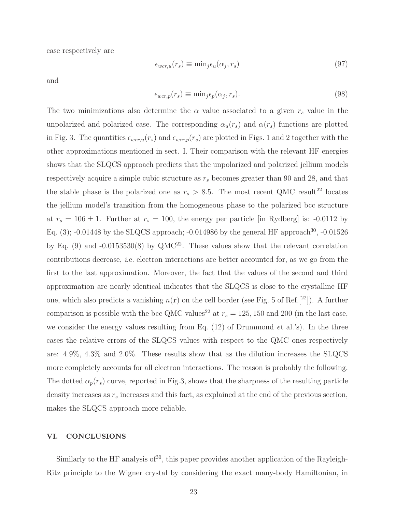case respectively are

$$
\epsilon_{wcr,u}(r_s) \equiv \min_j \epsilon_u(\alpha_j, r_s) \tag{97}
$$

and

$$
\epsilon_{wcr,p}(r_s) \equiv \min_j \epsilon_p(\alpha_j, r_s). \tag{98}
$$

The two minimizations also determine the  $\alpha$  value associated to a given  $r_s$  value in the unpolarized and polarized case. The corresponding  $\alpha_u(r_s)$  and  $\alpha(r_s)$  functions are plotted in Fig. 3. The quantities  $\epsilon_{wcr,u}(r_s)$  and  $\epsilon_{wcr,p}(r_s)$  are plotted in Figs. 1 and 2 together with the other approximations mentioned in sect. I. Their comparison with the relevant HF energies shows that the SLQCS approach predicts that the unpolarized and polarized jellium models respectively acquire a simple cubic structure as  $r<sub>s</sub>$  becomes greater than 90 and 28, and that the stable phase is the polarized one as  $r_s > 8.5$ . The most recent QMC result<sup>22</sup> locates the jellium model's transition from the homogeneous phase to the polarized bcc structure at  $r_s = 106 \pm 1$ . Further at  $r_s = 100$ , the energy per particle [in Rydberg] is: -0.0112 by Eq. (3); -0.01448 by the SLQCS approach; -0.014986 by the general HF approach<sup>30</sup>, -0.01526 by Eq. (9) and  $-0.0153530(8)$  by QMC<sup>22</sup>. These values show that the relevant correlation contributions decrease, i.e. electron interactions are better accounted for, as we go from the first to the last approximation. Moreover, the fact that the values of the second and third approximation are nearly identical indicates that the SLQCS is close to the crystalline HF one, which also predicts a vanishing  $n(\mathbf{r})$  on the cell border (see Fig. 5 of Ref.<sup>[22</sup>]). A further comparison is possible with the bcc QMC values<sup>22</sup> at  $r_s = 125, 150$  and 200 (in the last case, we consider the energy values resulting from Eq. (12) of Drummond et al.'s). In the three cases the relative errors of the SLQCS values with respect to the QMC ones respectively are: 4.9%, 4.3% and 2.0%. These results show that as the dilution increases the SLQCS more completely accounts for all electron interactions. The reason is probably the following. The dotted  $\alpha_p(r_s)$  curve, reported in Fig.3, shows that the sharpness of the resulting particle density increases as  $r_s$  increases and this fact, as explained at the end of the previous section, makes the SLQCS approach more reliable.

## VI. CONCLUSIONS

Similarly to the HF analysis of  $30$ , this paper provides another application of the Rayleigh-Ritz principle to the Wigner crystal by considering the exact many-body Hamiltonian, in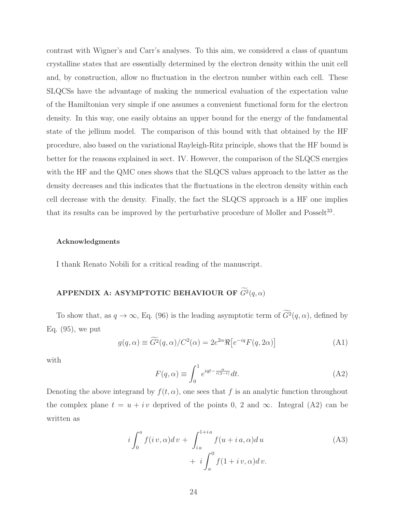contrast with Wigner's and Carr's analyses. To this aim, we considered a class of quantum crystalline states that are essentially determined by the electron density within the unit cell and, by construction, allow no fluctuation in the electron number within each cell. These SLQCSs have the advantage of making the numerical evaluation of the expectation value of the Hamiltonian very simple if one assumes a convenient functional form for the electron density. In this way, one easily obtains an upper bound for the energy of the fundamental state of the jellium model. The comparison of this bound with that obtained by the HF procedure, also based on the variational Rayleigh-Ritz principle, shows that the HF bound is better for the reasons explained in sect. IV. However, the comparison of the SLQCS energies with the HF and the QMC ones shows that the SLQCS values approach to the latter as the density decreases and this indicates that the fluctuations in the electron density within each cell decrease with the density. Finally, the fact the SLQCS approach is a HF one implies that its results can be improved by the perturbative procedure of Moller and Posselt<sup>33</sup>.

#### Acknowledgments

I thank Renato Nobili for a critical reading of the manuscript.

# APPENDIX A: ASYMPTOTIC BEHAVIOUR OF  $G^2(q,\alpha)$

To show that, as  $q \to \infty$ , Eq. (96) is the leading asymptotic term of  $G^2(q, \alpha)$ , defined by Eq. (95), we put

$$
g(q,\alpha) \equiv \widetilde{G}^2(q,\alpha) / C^2(\alpha) = 2e^{2\alpha} \Re \left[ e^{-iq} F(q,2\alpha) \right]
$$
 (A1)

with

$$
F(q,\alpha) \equiv \int_0^1 e^{iqt - \frac{\alpha}{t(2-t)}} dt.
$$
 (A2)

Denoting the above integrand by  $f(t, \alpha)$ , one sees that f is an analytic function throughout the complex plane  $t = u + iv$  deprived of the points 0, 2 and  $\infty$ . Integral (A2) can be written as

$$
i\int_0^a f(iv,\alpha)dv + \int_{i\,a}^{1+i\,a} f(u+i\,a,\alpha)du
$$
  
+ 
$$
i\int_a^0 f(1+i\,v,\alpha)dv.
$$
 (A3)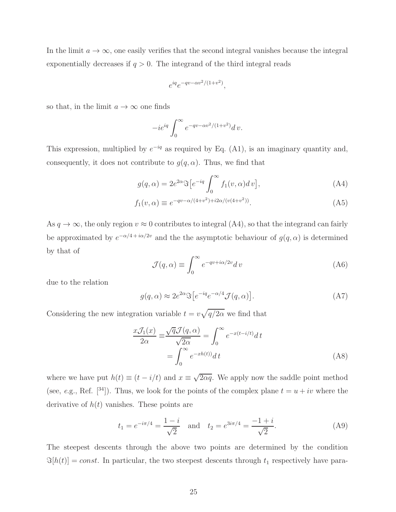In the limit  $a \to \infty$ , one easily verifies that the second integral vanishes because the integral exponentially decreases if  $q > 0$ . The integrand of the third integral reads

$$
e^{iq}e^{-qv-\alpha v^2/(1+v^2)},
$$

so that, in the limit  $a \to \infty$  one finds

$$
-ie^{iq}\int_0^\infty e^{-qv-\alpha v^2/(1+v^2)}dv.
$$

This expression, multiplied by  $e^{-iq}$  as required by Eq. (A1), is an imaginary quantity and, consequently, it does not contribute to  $g(q, \alpha)$ . Thus, we find that

$$
g(q,\alpha) = 2e^{2\alpha} \Im \left[e^{-iq} \int_0^\infty f_1(v,\alpha) dv\right],\tag{A4}
$$

$$
f_1(v, \alpha) \equiv e^{-qv - \alpha/(4+v^2) + i2\alpha/(v(4+v^2))}.
$$
 (A5)

As  $q \to \infty$ , the only region  $v \approx 0$  contributes to integral (A4), so that the integrand can fairly be approximated by  $e^{-\alpha/4 + i\alpha/2v}$  and the the asymptotic behaviour of  $g(q, \alpha)$  is determined by that of

$$
\mathcal{J}(q,\alpha) \equiv \int_0^\infty e^{-qv + i\alpha/2v} dv \tag{A6}
$$

due to the relation

$$
g(q,\alpha) \approx 2e^{2\alpha} \Im \left[e^{-iq} e^{-\alpha/4} \mathcal{J}(q,\alpha)\right]. \tag{A7}
$$

Considering the new integration variable  $t = v\sqrt{q/2\alpha}$  we find that

$$
\frac{x\mathcal{J}_1(x)}{2\alpha} \equiv \frac{\sqrt{q}\mathcal{J}(q,\alpha)}{\sqrt{2\alpha}} = \int_0^\infty e^{-x(t-i/t)} dt
$$

$$
= \int_0^\infty e^{-xh(t)/dt} dt
$$
(A8)

where we have put  $h(t) \equiv (t - i/t)$  and  $x \equiv \sqrt{2\alpha q}$ . We apply now the saddle point method (see, e.g., Ref. [34]). Thus, we look for the points of the complex plane  $t = u + iv$  where the derivative of  $h(t)$  vanishes. These points are

$$
t_1 = e^{-i\pi/4} = \frac{1-i}{\sqrt{2}}
$$
 and  $t_2 = e^{3i\pi/4} = \frac{-1+i}{\sqrt{2}}$ . (A9)

The steepest descents through the above two points are determined by the condition  $\Im[h(t)] = const.$  In particular, the two steepest descents through  $t_1$  respectively have para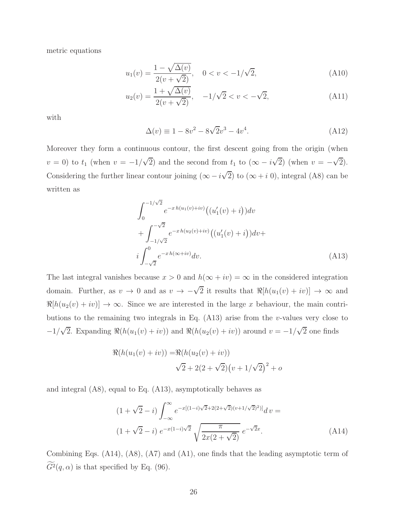metric equations

$$
u_1(v) = \frac{1 - \sqrt{\Delta(v)}}{2(v + \sqrt{2})}, \quad 0 < v < -1/\sqrt{2}, \tag{A10}
$$

$$
u_2(v) = \frac{1 + \sqrt{\Delta(v)}}{2(v + \sqrt{2})}, \quad -1/\sqrt{2} < v < -\sqrt{2}, \tag{A11}
$$

with

$$
\Delta(v) \equiv 1 - 8v^2 - 8\sqrt{2}v^3 - 4v^4. \tag{A12}
$$

Moreover they form a continuous contour, the first descent going from the origin (when  $v = 0$ ) to  $t_1$  (when  $v = -1/\sqrt{2}$ ) and the second from  $t_1$  to  $(\infty - i\sqrt{2})$  (when  $v = -\sqrt{2}$ ). Considering the further linear contour joining  $(\infty - i\sqrt{2})$  to  $(\infty + i 0)$ , integral (A8) can be written as

$$
\int_0^{-1/\sqrt{2}} e^{-xh(u_1(v)+iv)} \left( (u'_1(v)+i) \right) dv \n+ \int_{-1/\sqrt{2}}^{-\sqrt{2}} e^{-xh(u_2(v)+iv)} \left( (u'_1(v)+i) \right) dv \n+ i \int_{-\sqrt{2}}^0 e^{-xh(\infty+iv)} dv.
$$
\n(A13)

The last integral vanishes because  $x > 0$  and  $h(\infty + iv) = \infty$  in the considered integration domain. Further, as  $v \to 0$  and as  $v \to -\sqrt{2}$  it results that  $\Re[h(u_1(v) + iv)] \to \infty$  and  $\Re[h(u_2(v) + iv)] \to \infty$ . Since we are interested in the large x behaviour, the main contributions to the remaining two integrals in Eq.  $(A13)$  arise from the v-values very close to  $-1/\sqrt{2}$ . Expanding  $\Re(h(u_1(v) + iv))$  and  $\Re(h(u_2(v) + iv))$  around  $v = -1/\sqrt{2}$  one finds

$$
\Re(h(u_1(v) + iv)) = \Re(h(u_2(v) + iv))
$$
  

$$
\sqrt{2} + 2(2 + \sqrt{2})(v + 1/\sqrt{2})^2 + o
$$

and integral (A8), equal to Eq. (A13), asymptotically behaves as

$$
(1 + \sqrt{2} - i) \int_{-\infty}^{\infty} e^{-x[(1-i)\sqrt{2} + 2(2+\sqrt{2})(v+1/\sqrt{2})^2)]} dv =
$$
  

$$
(1 + \sqrt{2} - i) e^{-x(1-i)\sqrt{2}} \sqrt{\frac{\pi}{2x(2+\sqrt{2})}} e^{-\sqrt{2}x}.
$$
 (A14)

Combining Eqs. (A14), (A8), (A7) and (A1), one finds that the leading asymptotic term of  $G^2(q,\alpha)$  is that specified by Eq. (96).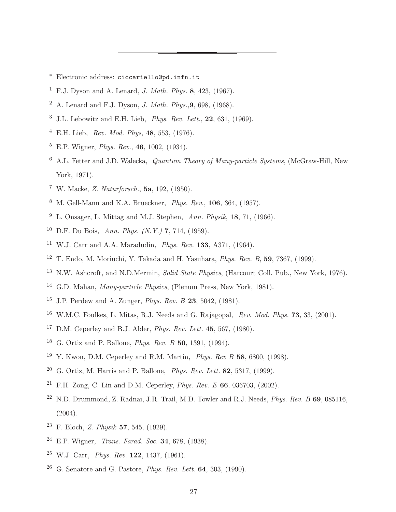- ∗ Electronic address: ciccariello@pd.infn.it
- <sup>1</sup> F.J. Dyson and A. Lenard, *J. Math. Phys.* 8, 423, (1967).
- <sup>2</sup> A. Lenard and F.J. Dyson, *J. Math. Phys.*, **9.**, 698, (1968).
- $3$  J.L. Lebowitz and E.H. Lieb, *Phys. Rev. Lett.*, **22**, 631, (1969).
- <sup>4</sup> E.H. Lieb, Rev. Mod. Phys, 48, 553, (1976).
- $5$  E.P. Wigner, *Phys. Rev.*, **46**, 1002, (1934).
- $6$  A.L. Fetter and J.D. Walecka, *Quantum Theory of Many-particle Systems*, (McGraw-Hill, New York, 1971).
- <sup>7</sup> W. Macke, Z. Naturforsch., 5a, 192, (1950).
- $8\,$  M. Gell-Mann and K.A. Brueckner, *Phys. Rev.*, **106**, 364, (1957).
- <sup>9</sup> L. Onsager, L. Mittag and M.J. Stephen, Ann. Physik, **18**, 71, (1966).
- <sup>10</sup> D.F. Du Bois, Ann. Phys.  $(N. Y.)$  7, 714, (1959).
- <sup>11</sup> W.J. Carr and A.A. Maradudin, Phys. Rev. 133, A371, (1964).
- <sup>12</sup> T. Endo, M. Moriuchi, Y. Takada and H. Yasuhara, *Phys. Rev. B*, **59**, 7367, (1999).
- <sup>13</sup> N.W. Ashcroft, and N.D.Mermin, *Solid State Physics*, (Harcourt Coll. Pub., New York, 1976).
- <sup>14</sup> G.D. Mahan, Many-particle Physics, (Plenum Press, New York, 1981).
- <sup>15</sup> J.P. Perdew and A. Zunger, *Phys. Rev. B* 23, 5042,  $(1981)$ .
- $16$  W.M.C. Foulkes, L. Mitas, R.J. Needs and G. Rajagopal, Rev. Mod. Phys. 73, 33, (2001).
- <sup>17</sup> D.M. Ceperley and B.J. Alder, *Phys. Rev. Lett.* **45**, 567, (1980).
- <sup>18</sup> G. Ortiz and P. Ballone, *Phys. Rev. B* 50, 1391, (1994).
- <sup>19</sup> Y. Kwon, D.M. Ceperley and R.M. Martin, *Phys. Rev B* 58, 6800, (1998).
- <sup>20</sup> G. Ortiz, M. Harris and P. Ballone, *Phys. Rev. Lett.* **82**, 5317, (1999).
- <sup>21</sup> F.H. Zong, C. Lin and D.M. Ceperley, *Phys. Rev. E* **66**, 036703, (2002).
- <sup>22</sup> N.D. Drummond, Z. Radnai, J.R. Trail, M.D. Towler and R.J. Needs, *Phys. Rev. B* 69, 085116, (2004).
- <sup>23</sup> F. Bloch, *Z. Physik* **57**, 545, (1929).
- <sup>24</sup> E.P. Wigner, Trans. Farad. Soc. 34, 678, (1938).
- $25$  W.J. Carr, *Phys. Rev.* 122, 1437, (1961).
- <sup>26</sup> G. Senatore and G. Pastore, *Phys. Rev. Lett.* **64**, 303, (1990).